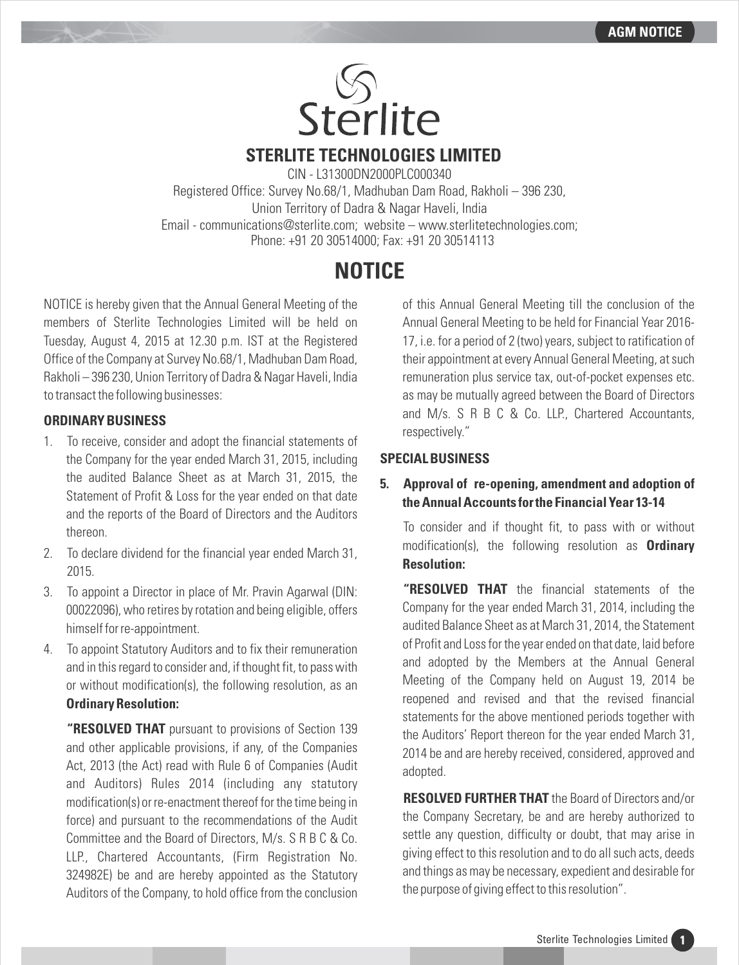

**STERLITE TECHNOLOGIES LIMITED**

CIN - L31300DN2000PLC000340 Registered Office: Survey No.68/1, Madhuban Dam Road, Rakholi – 396 230, Union Territory of Dadra & Nagar Haveli, India Email - communications@sterlite.com; website – www.sterlitetechnologies.com; Phone: +91 20 30514000; Fax: +91 20 30514113

# **NOTICE**

NOTICE is hereby given that the Annual General Meeting of the members of Sterlite Technologies Limited will be held on Tuesday, August 4, 2015 at 12.30 p.m. IST at the Registered Office of the Company at Survey No.68/1, Madhuban Dam Road, Rakholi – 396 230, Union Territory of Dadra & Nagar Haveli, India to transact the following businesses:

# **ORDINARY BUSINESS**

- 1. To receive, consider and adopt the financial statements of the Company for the year ended March 31, 2015, including the audited Balance Sheet as at March 31, 2015, the Statement of Profit & Loss for the year ended on that date and the reports of the Board of Directors and the Auditors thereon.
- 2. To declare dividend for the financial year ended March 31, 2015.
- 3. To appoint a Director in place of Mr. Pravin Agarwal (DIN: 00022096), who retires by rotation and being eligible, offers himself for re-appointment.
- 4. To appoint Statutory Auditors and to fix their remuneration and in this regard to consider and, if thought fit, to pass with or without modification(s), the following resolution, as an **Ordinary Resolution:**

**"RESOLVED THAT** pursuant to provisions of Section 139 and other applicable provisions, if any, of the Companies Act, 2013 (the Act) read with Rule 6 of Companies (Audit and Auditors) Rules 2014 (including any statutory modification(s) or re-enactment thereof for the time being in force) and pursuant to the recommendations of the Audit Committee and the Board of Directors, M/s. S R B C & Co. LLP., Chartered Accountants, (Firm Registration No. 324982E) be and are hereby appointed as the Statutory Auditors of the Company, to hold office from the conclusion of this Annual General Meeting till the conclusion of the Annual General Meeting to be held for Financial Year 2016- 17, i.e. for a period of 2 (two) years, subject to ratification of their appointment at every Annual General Meeting, at such remuneration plus service tax, out-of-pocket expenses etc. as may be mutually agreed between the Board of Directors and M/s. S R B C & Co. LLP., Chartered Accountants, respectively."

# **SPECIAL BUSINESS**

# **5. Approval of re-opening, amendment and adoption of the Annual Accounts for the Financial Year 13-14**

To consider and if thought fit, to pass with or without modification(s), the following resolution as **Ordinary Resolution:**

**"RESOLVED THAT** the financial statements of the Company for the year ended March 31, 2014, including the audited Balance Sheet as at March 31, 2014, the Statement of Profit and Loss for the year ended on that date, laid before and adopted by the Members at the Annual General Meeting of the Company held on August 19, 2014 be reopened and revised and that the revised financial statements for the above mentioned periods together with the Auditors' Report thereon for the year ended March 31, 2014 be and are hereby received, considered, approved and adopted.

**RESOLVED FURTHER THAT** the Board of Directors and/or the Company Secretary, be and are hereby authorized to settle any question, difficulty or doubt, that may arise in giving effect to this resolution and to do all such acts, deeds and things as may be necessary, expedient and desirable for the purpose of giving effect to this resolution".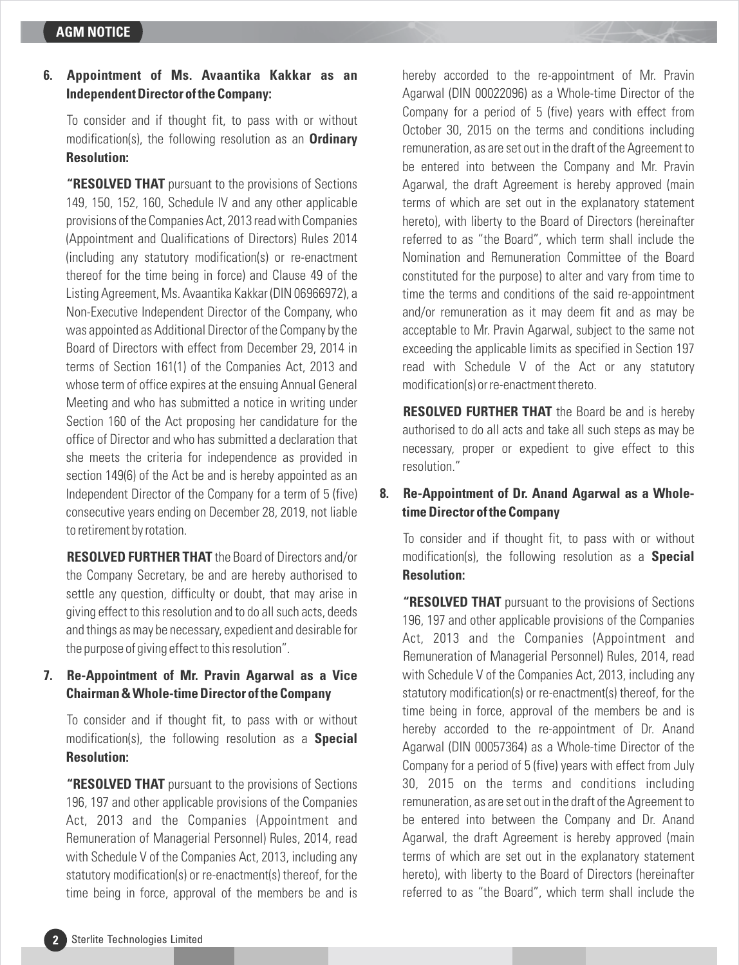# **6. Appointment of Ms. Avaantika Kakkar as an Independent Director of the Company:**

To consider and if thought fit, to pass with or without modification(s), the following resolution as an **Ordinary Resolution:**

**"RESOLVED THAT** pursuant to the provisions of Sections 149, 150, 152, 160, Schedule IV and any other applicable provisions of the Companies Act, 2013 read with Companies (Appointment and Qualifications of Directors) Rules 2014 (including any statutory modification(s) or re-enactment thereof for the time being in force) and Clause 49 of the Listing Agreement, Ms. Avaantika Kakkar (DIN 06966972), a Non-Executive Independent Director of the Company, who was appointed as Additional Director of the Company by the Board of Directors with effect from December 29, 2014 in terms of Section 161(1) of the Companies Act, 2013 and whose term of office expires at the ensuing Annual General Meeting and who has submitted a notice in writing under Section 160 of the Act proposing her candidature for the office of Director and who has submitted a declaration that she meets the criteria for independence as provided in section 149(6) of the Act be and is hereby appointed as an Independent Director of the Company for a term of 5 (five) consecutive years ending on December 28, 2019, not liable to retirement by rotation.

**RESOLVED FURTHER THAT** the Board of Directors and/or the Company Secretary, be and are hereby authorised to settle any question, difficulty or doubt, that may arise in giving effect to this resolution and to do all such acts, deeds and things as may be necessary, expedient and desirable for the purpose of giving effect to this resolution".

# **7. Re-Appointment of Mr. Pravin Agarwal as a Vice Chairman & Whole-time Director of the Company**

To consider and if thought fit, to pass with or without modification(s), the following resolution as a **Special Resolution:**

**"RESOLVED THAT** pursuant to the provisions of Sections 196, 197 and other applicable provisions of the Companies Act, 2013 and the Companies (Appointment and Remuneration of Managerial Personnel) Rules, 2014, read with Schedule V of the Companies Act, 2013, including any statutory modification(s) or re-enactment(s) thereof, for the time being in force, approval of the members be and is hereby accorded to the re-appointment of Mr. Pravin Agarwal (DIN 00022096) as a Whole-time Director of the Company for a period of 5 (five) years with effect from October 30, 2015 on the terms and conditions including remuneration, as are set out in the draft of the Agreement to be entered into between the Company and Mr. Pravin Agarwal, the draft Agreement is hereby approved (main terms of which are set out in the explanatory statement hereto), with liberty to the Board of Directors (hereinafter referred to as "the Board", which term shall include the Nomination and Remuneration Committee of the Board constituted for the purpose) to alter and vary from time to time the terms and conditions of the said re-appointment and/or remuneration as it may deem fit and as may be acceptable to Mr. Pravin Agarwal, subject to the same not exceeding the applicable limits as specified in Section 197 read with Schedule V of the Act or any statutory modification(s) or re-enactment thereto.

**RESOLVED FURTHER THAT** the Board be and is hereby authorised to do all acts and take all such steps as may be necessary, proper or expedient to give effect to this resolution."

# **8. Re-Appointment of Dr. Anand Agarwal as a Wholetime Director of the Company**

To consider and if thought fit, to pass with or without modification(s), the following resolution as a **Special Resolution:**

**"RESOLVED THAT** pursuant to the provisions of Sections 196, 197 and other applicable provisions of the Companies Act, 2013 and the Companies (Appointment and Remuneration of Managerial Personnel) Rules, 2014, read with Schedule V of the Companies Act, 2013, including any statutory modification(s) or re-enactment(s) thereof, for the time being in force, approval of the members be and is hereby accorded to the re-appointment of Dr. Anand Agarwal (DIN 00057364) as a Whole-time Director of the Company for a period of 5 (five) years with effect from July 30, 2015 on the terms and conditions including remuneration, as are set out in the draft of the Agreement to be entered into between the Company and Dr. Anand Agarwal, the draft Agreement is hereby approved (main terms of which are set out in the explanatory statement hereto), with liberty to the Board of Directors (hereinafter referred to as "the Board", which term shall include the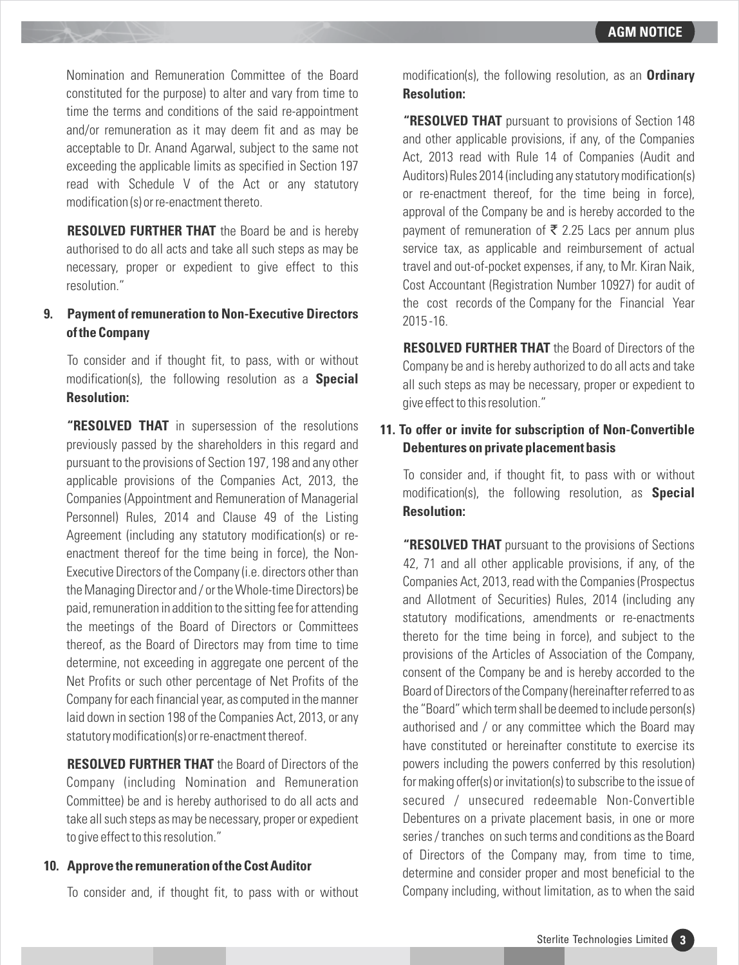Nomination and Remuneration Committee of the Board constituted for the purpose) to alter and vary from time to time the terms and conditions of the said re-appointment and/or remuneration as it may deem fit and as may be acceptable to Dr. Anand Agarwal, subject to the same not exceeding the applicable limits as specified in Section 197 read with Schedule V of the Act or any statutory modification (s) or re-enactment thereto.

**RESOLVED FURTHER THAT** the Board be and is hereby authorised to do all acts and take all such steps as may be necessary, proper or expedient to give effect to this resolution."

# **9. Payment of remuneration to Non-Executive Directors of the Company**

To consider and if thought fit, to pass, with or without modification(s), the following resolution as a **Special Resolution:**

**"RESOLVED THAT** in supersession of the resolutions previously passed by the shareholders in this regard and pursuant to the provisions of Section 197, 198 and any other applicable provisions of the Companies Act, 2013, the Companies (Appointment and Remuneration of Managerial Personnel) Rules, 2014 and Clause 49 of the Listing Agreement (including any statutory modification(s) or reenactment thereof for the time being in force), the Non-Executive Directors of the Company (i.e. directors other than the Managing Director and / or the Whole-time Directors) be paid, remuneration in addition to the sitting fee for attending the meetings of the Board of Directors or Committees thereof, as the Board of Directors may from time to time determine, not exceeding in aggregate one percent of the Net Profits or such other percentage of Net Profits of the Company for each financial year, as computed in the manner laid down in section 198 of the Companies Act, 2013, or any statutory modification(s) or re-enactment thereof.

**RESOLVED FURTHER THAT** the Board of Directors of the Company (including Nomination and Remuneration Committee) be and is hereby authorised to do all acts and take all such steps as may be necessary, proper or expedient to give effect to this resolution."

#### **10. Approve the remuneration of the Cost Auditor**

To consider and, if thought fit, to pass with or without

modification(s), the following resolution, as an **Ordinary Resolution:**

**"RESOLVED THAT** pursuant to provisions of Section 148 and other applicable provisions, if any, of the Companies Act, 2013 read with Rule 14 of Companies (Audit and Auditors) Rules 2014 (including any statutory modification(s) or re-enactment thereof, for the time being in force), approval of the Company be and is hereby accorded to the payment of remuneration of  $\bar{\bar{\xi}}$  2.25 Lacs per annum plus service tax, as applicable and reimbursement of actual travel and out-of-pocket expenses, if any, to Mr. Kiran Naik, Cost Accountant (Registration Number 10927) for audit of the cost records of the Company for the Financial Year 2015 -16.

**RESOLVED FURTHER THAT** the Board of Directors of the Company be and is hereby authorized to do all acts and take all such steps as may be necessary, proper or expedient to give effect to this resolution."

# **11. To offer or invite for subscription of Non-Convertible Debentures on private placement basis**

To consider and, if thought fit, to pass with or without modification(s), the following resolution, as **Special Resolution:**

**"RESOLVED THAT** pursuant to the provisions of Sections 42, 71 and all other applicable provisions, if any, of the Companies Act, 2013, read with the Companies (Prospectus and Allotment of Securities) Rules, 2014 (including any statutory modifications, amendments or re-enactments thereto for the time being in force), and subject to the provisions of the Articles of Association of the Company, consent of the Company be and is hereby accorded to the Board of Directors of the Company (hereinafter referred to as the "Board" which term shall be deemed to include person(s) authorised and / or any committee which the Board may have constituted or hereinafter constitute to exercise its powers including the powers conferred by this resolution) for making offer(s) or invitation(s) to subscribe to the issue of secured / unsecured redeemable Non-Convertible Debentures on a private placement basis, in one or more series / tranches on such terms and conditions as the Board of Directors of the Company may, from time to time, determine and consider proper and most beneficial to the Company including, without limitation, as to when the said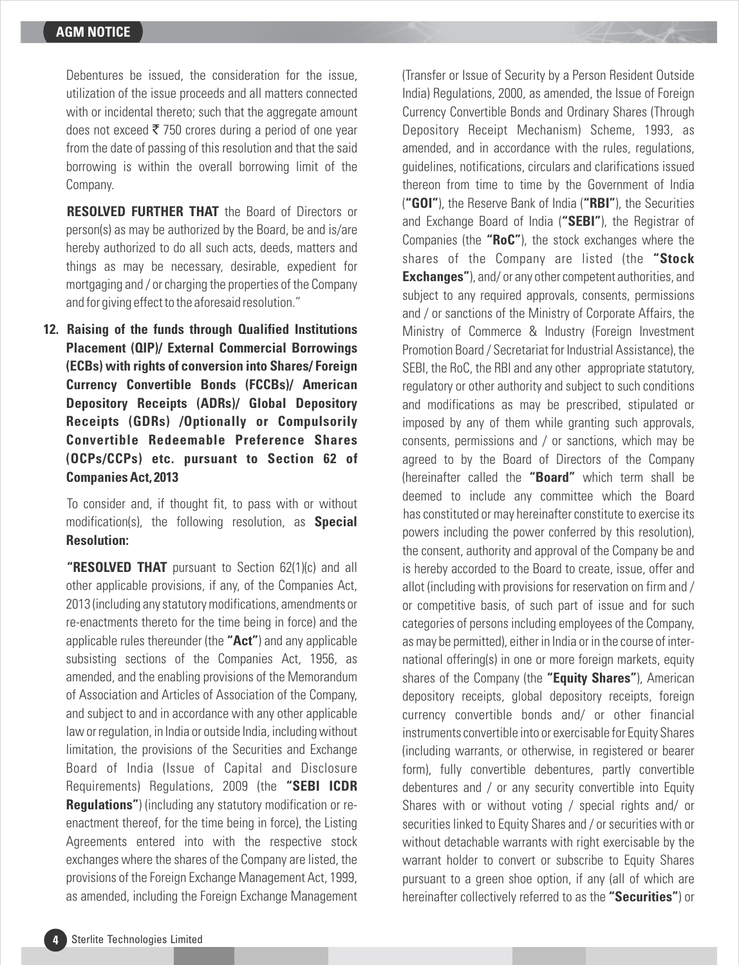Debentures be issued, the consideration for the issue, utilization of the issue proceeds and all matters connected with or incidental thereto; such that the aggregate amount does not exceed  $\bar{\tau}$  750 crores during a period of one vear from the date of passing of this resolution and that the said borrowing is within the overall borrowing limit of the Company.

**RESOLVED FURTHER THAT** the Board of Directors or person(s) as may be authorized by the Board, be and is/are hereby authorized to do all such acts, deeds, matters and things as may be necessary, desirable, expedient for mortgaging and / or charging the properties of the Company and for giving effect to the aforesaid resolution."

**12. Raising of the funds through Qualified Institutions Placement (QIP)/ External Commercial Borrowings (ECBs) with rights of conversion into Shares/ Foreign Currency Convertible Bonds (FCCBs)/ American Depository Receipts (ADRs)/ Global Depository Receipts (GDRs) /Optionally or Compulsorily Convertible Redeemable Preference Shares (OCPs/CCPs) etc. pursuant to Section 62 of Companies Act, 2013**

To consider and, if thought fit, to pass with or without modification(s), the following resolution, as **Special Resolution:**

**"RESOLVED THAT** pursuant to Section 62(1)(c) and all other applicable provisions, if any, of the Companies Act, 2013 (including any statutory modifications, amendments or re-enactments thereto for the time being in force) and the applicable rules thereunder (the **"Act"**) and any applicable subsisting sections of the Companies Act, 1956, as amended, and the enabling provisions of the Memorandum of Association and Articles of Association of the Company, and subject to and in accordance with any other applicable law or regulation, in India or outside India, including without limitation, the provisions of the Securities and Exchange Board of India (Issue of Capital and Disclosure Requirements) Regulations, 2009 (the **"SEBI ICDR Regulations"**) (including any statutory modification or reenactment thereof, for the time being in force), the Listing Agreements entered into with the respective stock exchanges where the shares of the Company are listed, the provisions of the Foreign Exchange Management Act, 1999, as amended, including the Foreign Exchange Management

(Transfer or Issue of Security by a Person Resident Outside India) Regulations, 2000, as amended, the Issue of Foreign Currency Convertible Bonds and Ordinary Shares (Through Depository Receipt Mechanism) Scheme, 1993, as amended, and in accordance with the rules, regulations, guidelines, notifications, circulars and clarifications issued thereon from time to time by the Government of India (**"GOI"**), the Reserve Bank of India (**"RBI"**), the Securities and Exchange Board of India (**"SEBI"**), the Registrar of Companies (the **"RoC"**), the stock exchanges where the shares of the Company are listed (the **"Stock Exchanges"**), and/ or any other competent authorities, and subject to any required approvals, consents, permissions and / or sanctions of the Ministry of Corporate Affairs, the Ministry of Commerce & Industry (Foreign Investment Promotion Board / Secretariat for Industrial Assistance), the SEBI, the RoC, the RBI and any other appropriate statutory, regulatory or other authority and subject to such conditions and modifications as may be prescribed, stipulated or imposed by any of them while granting such approvals, consents, permissions and / or sanctions, which may be agreed to by the Board of Directors of the Company (hereinafter called the **"Board"** which term shall be deemed to include any committee which the Board has constituted or may hereinafter constitute to exercise its powers including the power conferred by this resolution), the consent, authority and approval of the Company be and is hereby accorded to the Board to create, issue, offer and allot (including with provisions for reservation on firm and / or competitive basis, of such part of issue and for such categories of persons including employees of the Company, as may be permitted), either in India or in the course of international offering(s) in one or more foreign markets, equity shares of the Company (the **"Equity Shares"**), American depository receipts, global depository receipts, foreign currency convertible bonds and/ or other financial instruments convertible into or exercisable for Equity Shares (including warrants, or otherwise, in registered or bearer form), fully convertible debentures, partly convertible debentures and / or any security convertible into Equity Shares with or without voting / special rights and/ or securities linked to Equity Shares and / or securities with or without detachable warrants with right exercisable by the warrant holder to convert or subscribe to Equity Shares pursuant to a green shoe option, if any (all of which are hereinafter collectively referred to as the **"Securities"**) or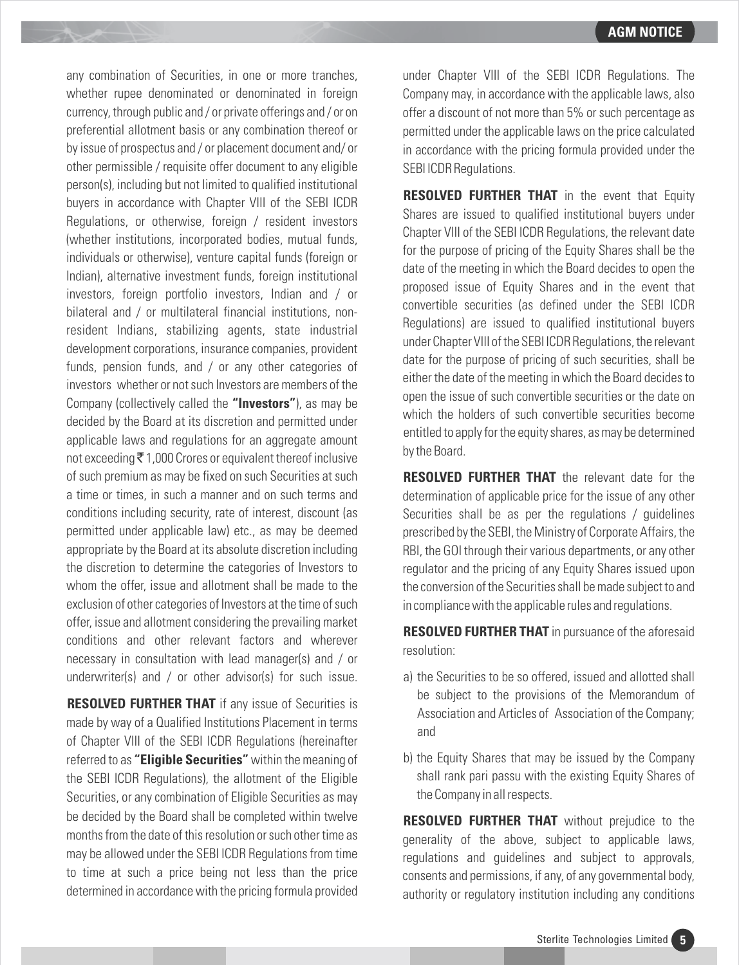any combination of Securities, in one or more tranches, whether rupee denominated or denominated in foreign currency, through public and / or private offerings and / or on preferential allotment basis or any combination thereof or by issue of prospectus and / or placement document and/ or other permissible / requisite offer document to any eligible person(s), including but not limited to qualified institutional buyers in accordance with Chapter VIII of the SEBI ICDR Regulations, or otherwise, foreign / resident investors (whether institutions, incorporated bodies, mutual funds, individuals or otherwise), venture capital funds (foreign or Indian), alternative investment funds, foreign institutional investors, foreign portfolio investors, Indian and / or bilateral and / or multilateral financial institutions, nonresident Indians, stabilizing agents, state industrial development corporations, insurance companies, provident funds, pension funds, and / or any other categories of investors whether or not such Investors are members of the Company (collectively called the **"Investors"**), as may be decided by the Board at its discretion and permitted under applicable laws and regulations for an aggregate amount not exceeding  $\bar{\tau}$  1,000 Crores or equivalent thereof inclusive of such premium as may be fixed on such Securities at such a time or times, in such a manner and on such terms and conditions including security, rate of interest, discount (as permitted under applicable law) etc., as may be deemed appropriate by the Board at its absolute discretion including the discretion to determine the categories of Investors to whom the offer, issue and allotment shall be made to the exclusion of other categories of Investors at the time of such offer, issue and allotment considering the prevailing market conditions and other relevant factors and wherever necessary in consultation with lead manager(s) and / or underwriter(s) and / or other advisor(s) for such issue.

**RESOLVED FURTHER THAT** if any issue of Securities is made by way of a Qualified Institutions Placement in terms of Chapter VIII of the SEBI ICDR Regulations (hereinafter referred to as **"Eligible Securities"**within the meaning of the SEBI ICDR Regulations), the allotment of the Eligible Securities, or any combination of Eligible Securities as may be decided by the Board shall be completed within twelve months from the date of this resolution or such other time as may be allowed under the SEBI ICDR Regulations from time to time at such a price being not less than the price determined in accordance with the pricing formula provided under Chapter VIII of the SEBI ICDR Regulations. The Company may, in accordance with the applicable laws, also offer a discount of not more than 5% or such percentage as permitted under the applicable laws on the price calculated in accordance with the pricing formula provided under the SEBI ICDR Regulations.

**RESOLVED FURTHER THAT** in the event that Equity Shares are issued to qualified institutional buyers under Chapter VIII of the SEBI ICDR Regulations, the relevant date for the purpose of pricing of the Equity Shares shall be the date of the meeting in which the Board decides to open the proposed issue of Equity Shares and in the event that convertible securities (as defined under the SEBI ICDR Regulations) are issued to qualified institutional buyers under Chapter VIII of the SEBI ICDR Regulations, the relevant date for the purpose of pricing of such securities, shall be either the date of the meeting in which the Board decides to open the issue of such convertible securities or the date on which the holders of such convertible securities become entitled to apply for the equity shares, as may be determined by the Board.

**RESOLVED FURTHER THAT** the relevant date for the determination of applicable price for the issue of any other Securities shall be as per the regulations / guidelines prescribed by the SEBI, the Ministry of Corporate Affairs, the RBI, the GOI through their various departments, or any other regulator and the pricing of any Equity Shares issued upon the conversion of the Securities shall be made subject to and in compliance with the applicable rules and regulations.

**RESOLVED FURTHER THAT** in pursuance of the aforesaid resolution:

- a) the Securities to be so offered, issued and allotted shall be subject to the provisions of the Memorandum of Association and Articles of Association of the Company; and
- b) the Equity Shares that may be issued by the Company shall rank pari passu with the existing Equity Shares of the Company in all respects.

**RESOLVED FURTHER THAT** without prejudice to the generality of the above, subject to applicable laws, regulations and guidelines and subject to approvals, consents and permissions, if any, of any governmental body, authority or regulatory institution including any conditions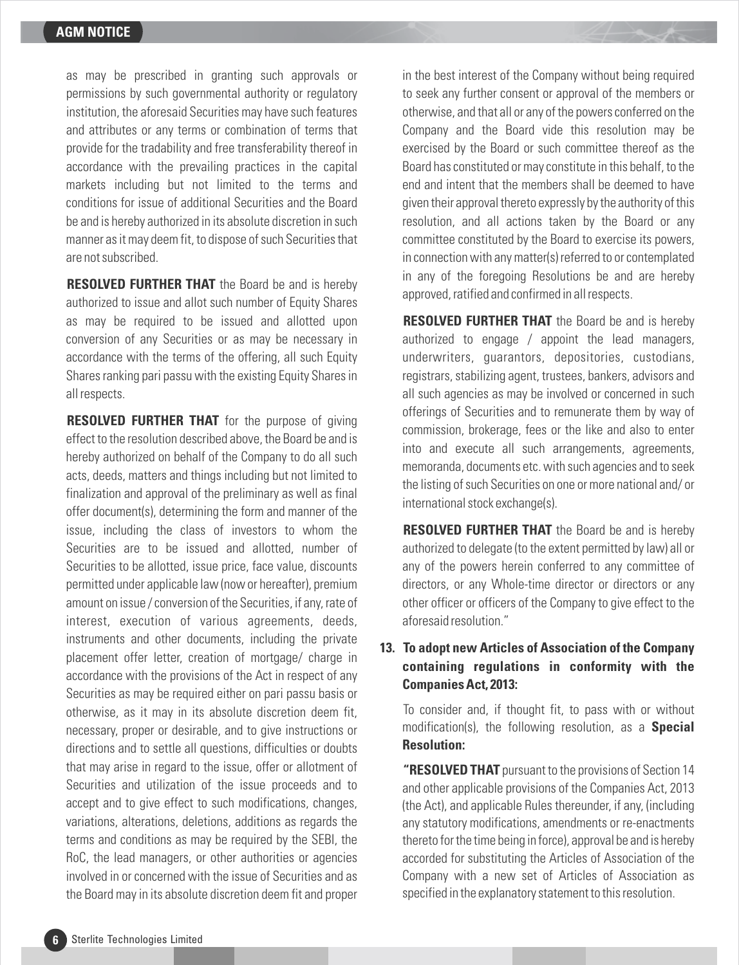as may be prescribed in granting such approvals or permissions by such governmental authority or regulatory institution, the aforesaid Securities may have such features and attributes or any terms or combination of terms that provide for the tradability and free transferability thereof in accordance with the prevailing practices in the capital markets including but not limited to the terms and conditions for issue of additional Securities and the Board be and is hereby authorized in its absolute discretion in such manner as it may deem fit, to dispose of such Securities that are not subscribed.

**RESOLVED FURTHER THAT** the Board be and is hereby authorized to issue and allot such number of Equity Shares as may be required to be issued and allotted upon conversion of any Securities or as may be necessary in accordance with the terms of the offering, all such Equity Shares ranking pari passu with the existing Equity Shares in all respects.

**RESOLVED FURTHER THAT** for the purpose of giving effect to the resolution described above, the Board be and is hereby authorized on behalf of the Company to do all such acts, deeds, matters and things including but not limited to finalization and approval of the preliminary as well as final offer document(s), determining the form and manner of the issue, including the class of investors to whom the Securities are to be issued and allotted, number of Securities to be allotted, issue price, face value, discounts permitted under applicable law (now or hereafter), premium amount on issue / conversion of the Securities, if any, rate of interest, execution of various agreements, deeds, instruments and other documents, including the private placement offer letter, creation of mortgage/ charge in accordance with the provisions of the Act in respect of any Securities as may be required either on pari passu basis or otherwise, as it may in its absolute discretion deem fit, necessary, proper or desirable, and to give instructions or directions and to settle all questions, difficulties or doubts that may arise in regard to the issue, offer or allotment of Securities and utilization of the issue proceeds and to accept and to give effect to such modifications, changes, variations, alterations, deletions, additions as regards the terms and conditions as may be required by the SEBI, the RoC, the lead managers, or other authorities or agencies involved in or concerned with the issue of Securities and as the Board may in its absolute discretion deem fit and proper in the best interest of the Company without being required to seek any further consent or approval of the members or otherwise, and that all or any of the powers conferred on the Company and the Board vide this resolution may be exercised by the Board or such committee thereof as the Board has constituted or may constitute in this behalf, to the end and intent that the members shall be deemed to have given their approval thereto expressly by the authority of this resolution, and all actions taken by the Board or any committee constituted by the Board to exercise its powers, in connection with any matter(s) referred to or contemplated in any of the foregoing Resolutions be and are hereby approved, ratified and confirmed in all respects.

**RESOLVED FURTHER THAT** the Board be and is hereby authorized to engage / appoint the lead managers, underwriters, guarantors, depositories, custodians, registrars, stabilizing agent, trustees, bankers, advisors and all such agencies as may be involved or concerned in such offerings of Securities and to remunerate them by way of commission, brokerage, fees or the like and also to enter into and execute all such arrangements, agreements, memoranda, documents etc. with such agencies and to seek the listing of such Securities on one or more national and/ or international stock exchange(s).

**RESOLVED FURTHER THAT** the Board be and is hereby authorized to delegate (to the extent permitted by law) all or any of the powers herein conferred to any committee of directors, or any Whole-time director or directors or any other officer or officers of the Company to give effect to the aforesaid resolution."

# **13. To adopt new Articles of Association of the Company containing regulations in conformity with the Companies Act, 2013:**

To consider and, if thought fit, to pass with or without modification(s), the following resolution, as a **Special Resolution:**

**"RESOLVED THAT** pursuant to the provisions of Section 14 and other applicable provisions of the Companies Act, 2013 (the Act), and applicable Rules thereunder, if any, (including any statutory modifications, amendments or re-enactments thereto for the time being in force), approval be and is hereby accorded for substituting the Articles of Association of the Company with a new set of Articles of Association as specified in the explanatory statement to this resolution.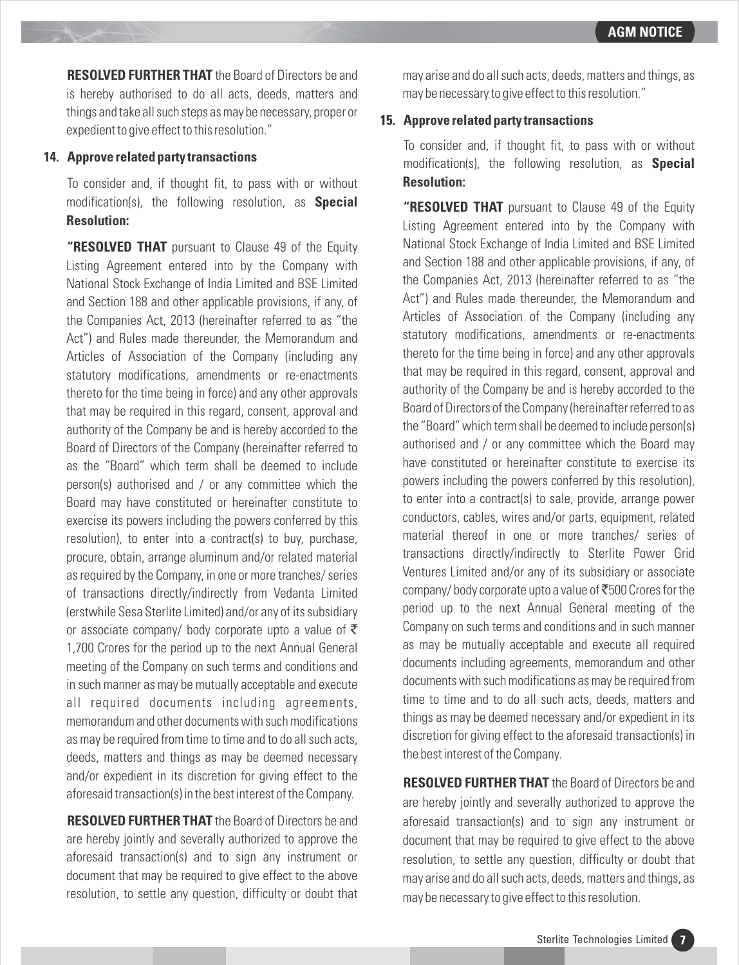**RESOLVED FURTHER THAT** the Board of Directors be and is hereby authorised to do all acts, deeds, matters and things and take all such steps as may be necessary, proper or expedient to give effect to this resolution."

#### **14. Approve related party transactions**

To consider and, if thought fit, to pass with or without modification(s), the following resolution, as **Special Resolution:**

**"RESOLVED THAT** pursuant to Clause 49 of the Equity Listing Agreement entered into by the Company with National Stock Exchange of India Limited and BSE Limited and Section 188 and other applicable provisions, if any, of the Companies Act, 2013 (hereinafter referred to as "the Act") and Rules made thereunder, the Memorandum and Articles of Association of the Company (including any statutory modifications, amendments or re-enactments thereto for the time being in force) and any other approvals that may be required in this regard, consent, approval and authority of the Company be and is hereby accorded to the Board of Directors of the Company (hereinafter referred to as the "Board" which term shall be deemed to include person(s) authorised and / or any committee which the Board may have constituted or hereinafter constitute to exercise its powers including the powers conferred by this resolution), to enter into a contract(s) to buy, purchase, procure, obtain, arrange aluminum and/or related material as required by the Company, in one or more tranches/ series of transactions directly/indirectly from Vedanta Limited (erstwhile Sesa Sterlite Limited) and/or any of its subsidiary or associate company/ body corporate upto a value of  $\bar{\tau}$ 1,700 Crores for the period up to the next Annual General meeting of the Company on such terms and conditions and in such manner as may be mutually acceptable and execute all required documents including agreements, memorandum and other documents with such modifications as may be required from time to time and to do all such acts, deeds, matters and things as may be deemed necessary and/or expedient in its discretion for giving effect to the aforesaid transaction(s) in the best interest of the Company.

**RESOLVED FURTHER THAT** the Board of Directors be and are hereby jointly and severally authorized to approve the aforesaid transaction(s) and to sign any instrument or document that may be required to give effect to the above resolution, to settle any question, difficulty or doubt that may arise and do all such acts, deeds, matters and things, as may be necessary to give effect to this resolution."

#### **15. Approve related party transactions**

To consider and, if thought fit, to pass with or without modification(s), the following resolution, as **Special Resolution:**

**"RESOLVED THAT** pursuant to Clause 49 of the Equity Listing Agreement entered into by the Company with National Stock Exchange of India Limited and BSE Limited and Section 188 and other applicable provisions, if any, of the Companies Act, 2013 (hereinafter referred to as "the Act") and Rules made thereunder, the Memorandum and Articles of Association of the Company (including any statutory modifications, amendments or re-enactments thereto for the time being in force) and any other approvals that may be required in this regard, consent, approval and authority of the Company be and is hereby accorded to the Board of Directors of the Company (hereinafter referred to as the "Board" which term shall be deemed to include person(s) authorised and / or any committee which the Board may have constituted or hereinafter constitute to exercise its powers including the powers conferred by this resolution), to enter into a contract(s) to sale, provide, arrange power conductors, cables, wires and/or parts, equipment, related material thereof in one or more tranches/ series of transactions directly/indirectly to Sterlite Power Grid Ventures Limited and/or any of its subsidiary or associate company/body corporate upto a value of  $\bar{c}500$  Crores for the period up to the next Annual General meeting of the Company on such terms and conditions and in such manner as may be mutually acceptable and execute all required documents including agreements, memorandum and other documents with such modifications as may be required from time to time and to do all such acts, deeds, matters and things as may be deemed necessary and/or expedient in its discretion for giving effect to the aforesaid transaction(s) in the best interest of the Company.

**RESOLVED FURTHER THAT** the Board of Directors be and are hereby jointly and severally authorized to approve the aforesaid transaction(s) and to sign any instrument or document that may be required to give effect to the above resolution, to settle any question, difficulty or doubt that may arise and do all such acts, deeds, matters and things, as may be necessary to give effect to this resolution.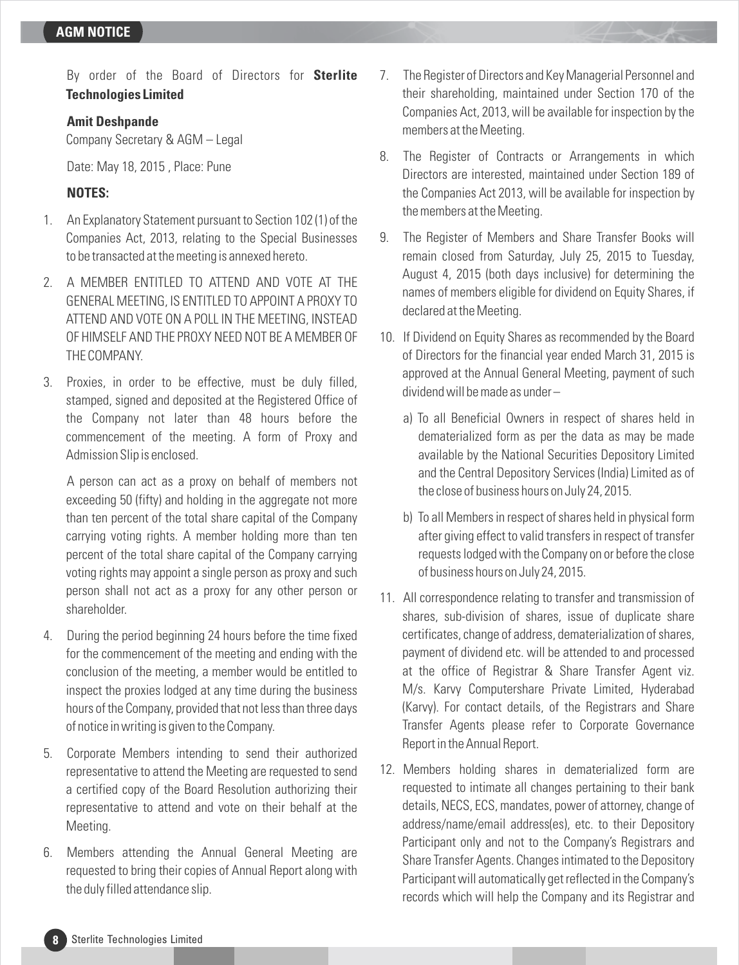By order of the Board of Directors for **Sterlite Technologies Limited** 

#### **Amit Deshpande**

Company Secretary & AGM – Legal

Date: May 18, 2015 , Place: Pune

# **NOTES:**

- 1. An Explanatory Statement pursuant to Section 102 (1) of the Companies Act, 2013, relating to the Special Businesses to be transacted at the meeting is annexed hereto.
- 2. A MEMBER ENTITLED TO ATTEND AND VOTE AT THE GENERAL MEETING, IS ENTITLED TO APPOINT A PROXY TO ATTEND AND VOTE ON A POLL IN THE MEETING, INSTEAD OF HIMSELF AND THE PROXY NEED NOT BE A MEMBER OF THE COMPANY.
- 3. Proxies, in order to be effective, must be duly filled, stamped, signed and deposited at the Registered Office of the Company not later than 48 hours before the commencement of the meeting. A form of Proxy and Admission Slip is enclosed.

A person can act as a proxy on behalf of members not exceeding 50 (fifty) and holding in the aggregate not more than ten percent of the total share capital of the Company carrying voting rights. A member holding more than ten percent of the total share capital of the Company carrying voting rights may appoint a single person as proxy and such person shall not act as a proxy for any other person or shareholder.

- 4. During the period beginning 24 hours before the time fixed for the commencement of the meeting and ending with the conclusion of the meeting, a member would be entitled to inspect the proxies lodged at any time during the business hours of the Company, provided that not less than three days of notice in writing is given to the Company.
- 5. Corporate Members intending to send their authorized representative to attend the Meeting are requested to send a certified copy of the Board Resolution authorizing their representative to attend and vote on their behalf at the Meeting.
- 6. Members attending the Annual General Meeting are requested to bring their copies of Annual Report along with the duly filled attendance slip.
- 7. The Register of Directors and Key Managerial Personnel and their shareholding, maintained under Section 170 of the Companies Act, 2013, will be available for inspection by the members at the Meeting.
- 8. The Register of Contracts or Arrangements in which Directors are interested, maintained under Section 189 of the Companies Act 2013, will be available for inspection by the members at the Meeting.
- 9. The Register of Members and Share Transfer Books will remain closed from Saturday, July 25, 2015 to Tuesday, August 4, 2015 (both days inclusive) for determining the names of members eligible for dividend on Equity Shares, if declared at the Meeting.
- 10. If Dividend on Equity Shares as recommended by the Board of Directors for the financial year ended March 31, 2015 is approved at the Annual General Meeting, payment of such dividend will be made as under –
	- a) To all Beneficial Owners in respect of shares held in dematerialized form as per the data as may be made available by the National Securities Depository Limited and the Central Depository Services (India) Limited as of the close of business hours on July 24, 2015.
	- b) To all Members in respect of shares held in physical form after giving effect to valid transfers in respect of transfer requests lodged with the Company on or before the close of business hours on July 24, 2015.
- 11. All correspondence relating to transfer and transmission of shares, sub-division of shares, issue of duplicate share certificates, change of address, dematerialization of shares, payment of dividend etc. will be attended to and processed at the office of Registrar & Share Transfer Agent viz. M/s. Karvy Computershare Private Limited, Hyderabad (Karvy). For contact details, of the Registrars and Share Transfer Agents please refer to Corporate Governance Report in the Annual Report.
- 12. Members holding shares in dematerialized form are requested to intimate all changes pertaining to their bank details, NECS, ECS, mandates, power of attorney, change of address/name/email address(es), etc. to their Depository Participant only and not to the Company's Registrars and Share Transfer Agents. Changes intimated to the Depository Participant will automatically get reflected in the Company's records which will help the Company and its Registrar and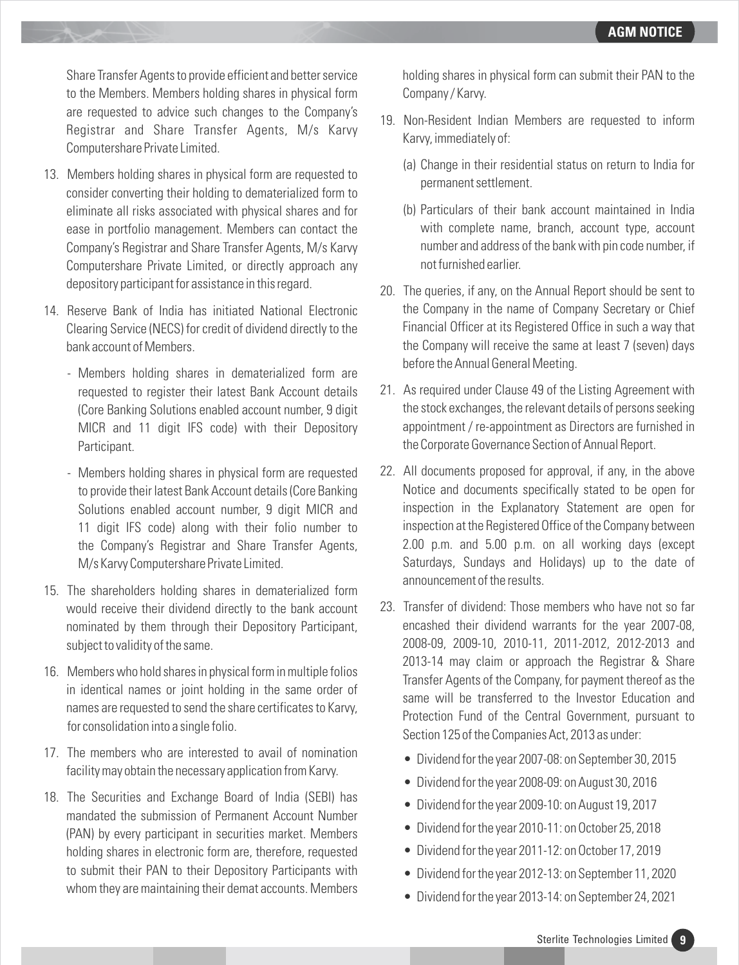Share Transfer Agents to provide efficient and better service to the Members. Members holding shares in physical form are requested to advice such changes to the Company's Registrar and Share Transfer Agents, M/s Karvy Computershare Private Limited.

- 13. Members holding shares in physical form are requested to consider converting their holding to dematerialized form to eliminate all risks associated with physical shares and for ease in portfolio management. Members can contact the Company's Registrar and Share Transfer Agents, M/s Karvy Computershare Private Limited, or directly approach any depository participant for assistance in this regard.
- 14. Reserve Bank of India has initiated National Electronic Clearing Service (NECS) for credit of dividend directly to the bank account of Members.
	- Members holding shares in dematerialized form are requested to register their latest Bank Account details (Core Banking Solutions enabled account number, 9 digit MICR and 11 digit IFS code) with their Depository Participant.
	- Members holding shares in physical form are requested to provide their latest Bank Account details (Core Banking Solutions enabled account number, 9 digit MICR and 11 digit IFS code) along with their folio number to the Company's Registrar and Share Transfer Agents, M/s Karvy Computershare Private Limited.
- 15. The shareholders holding shares in dematerialized form would receive their dividend directly to the bank account nominated by them through their Depository Participant, subject to validity of the same.
- 16. Members who hold shares in physical form in multiple folios in identical names or joint holding in the same order of names are requested to send the share certificates to Karvy, for consolidation into a single folio.
- 17. The members who are interested to avail of nomination facility may obtain the necessary application from Karvy.
- 18. The Securities and Exchange Board of India (SEBI) has mandated the submission of Permanent Account Number (PAN) by every participant in securities market. Members holding shares in electronic form are, therefore, requested to submit their PAN to their Depository Participants with whom they are maintaining their demat accounts. Members

holding shares in physical form can submit their PAN to the Company / Karvy.

- 19. Non-Resident Indian Members are requested to inform Karvy, immediately of:
	- (a) Change in their residential status on return to India for permanent settlement.
	- (b) Particulars of their bank account maintained in India with complete name, branch, account type, account number and address of the bank with pin code number, if not furnished earlier.
- 20. The queries, if any, on the Annual Report should be sent to the Company in the name of Company Secretary or Chief Financial Officer at its Registered Office in such a way that the Company will receive the same at least 7 (seven) days before the Annual General Meeting.
- 21. As required under Clause 49 of the Listing Agreement with the stock exchanges, the relevant details of persons seeking appointment / re-appointment as Directors are furnished in the Corporate Governance Section of Annual Report.
- 22. All documents proposed for approval, if any, in the above Notice and documents specifically stated to be open for inspection in the Explanatory Statement are open for inspection at the Registered Office of the Company between 2.00 p.m. and 5.00 p.m. on all working days (except Saturdays, Sundays and Holidays) up to the date of announcement of the results.
- 23. Transfer of dividend: Those members who have not so far encashed their dividend warrants for the year 2007-08, 2008-09, 2009-10, 2010-11, 2011-2012, 2012-2013 and 2013-14 may claim or approach the Registrar & Share Transfer Agents of the Company, for payment thereof as the same will be transferred to the Investor Education and Protection Fund of the Central Government, pursuant to Section 125 of the Companies Act, 2013 as under:
	- Dividend for the year 2007-08: on September 30, 2015
	- Dividend for the year 2008-09: on August 30, 2016
	- Dividend for the year 2009-10: on August 19, 2017
	- Dividend for the year 2010-11: on October 25, 2018
	- Dividend for the year 2011-12: on October 17, 2019
	- Dividend for the year 2012-13: on September 11, 2020
	- Dividend for the year 2013-14: on September 24, 2021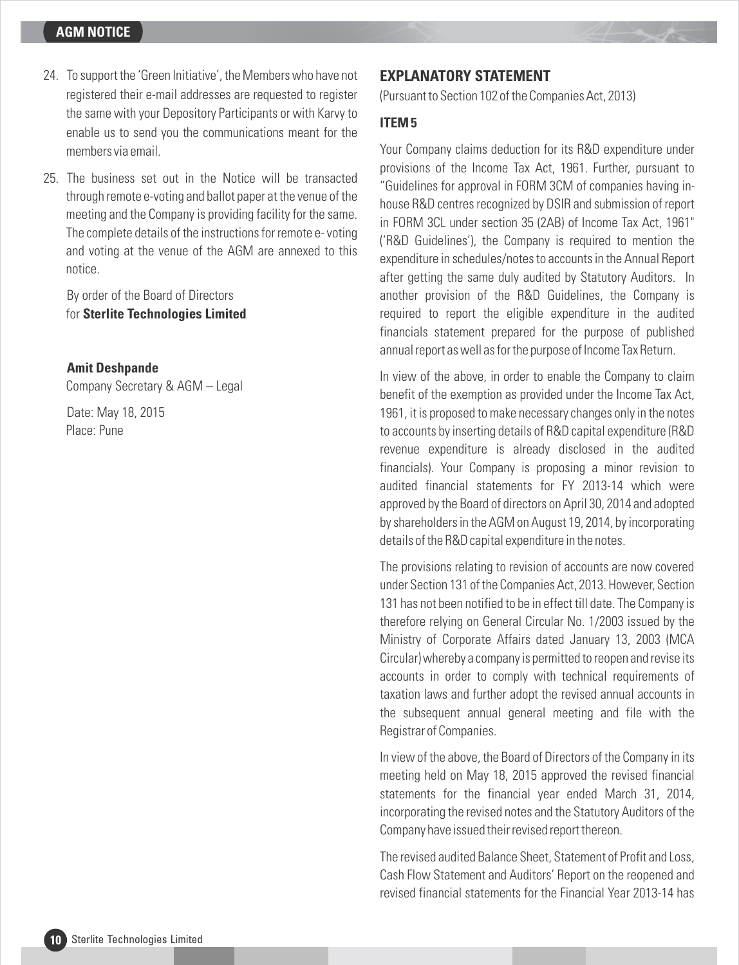- 24. To support the 'Green Initiative', the Members who have not registered their e-mail addresses are requested to register the same with your Depository Participants or with Karvy to enable us to send you the communications meant for the members via email.
- 25. The business set out in the Notice will be transacted through remote e-voting and ballot paper at the venue of the meeting and the Company is providing facility for the same. The complete details of the instructions for remote e- voting and voting at the venue of the AGM are annexed to this notice.

By order of the Board of Directors for **Sterlite Technologies Limited**

**Amit Deshpande**

Company Secretary & AGM – Legal

Date: May 18, 2015 Place: Pune

## **EXPLANATORY STATEMENT**

(Pursuant to Section 102 of the Companies Act, 2013)

#### **ITEM 5**

Your Company claims deduction for its R&D expenditure under provisions of the Income Tax Act, 1961. Further, pursuant to "Guidelines for approval in FORM 3CM of companies having inhouse R&D centres recognized by DSIR and submission of report in FORM 3CL under section 35 (2AB) of Income Tax Act, 1961" ('R&D Guidelines'), the Company is required to mention the expenditure in schedules/notes to accounts in the Annual Report after getting the same duly audited by Statutory Auditors. In another provision of the R&D Guidelines, the Company is required to report the eligible expenditure in the audited financials statement prepared for the purpose of published annual report as well as for the purpose of Income Tax Return.

In view of the above, in order to enable the Company to claim benefit of the exemption as provided under the Income Tax Act, 1961, it is proposed to make necessary changes only in the notes to accounts by inserting details of R&D capital expenditure (R&D revenue expenditure is already disclosed in the audited financials). Your Company is proposing a minor revision to audited financial statements for FY 2013-14 which were approved by the Board of directors on April 30, 2014 and adopted by shareholders in the AGM on August 19, 2014, by incorporating details of the R&D capital expenditure in the notes.

The provisions relating to revision of accounts are now covered under Section 131 of the Companies Act, 2013. However, Section 131 has not been notified to be in effect till date. The Company is therefore relying on General Circular No. 1/2003 issued by the Ministry of Corporate Affairs dated January 13, 2003 (MCA Circular) whereby a company is permitted to reopen and revise its accounts in order to comply with technical requirements of taxation laws and further adopt the revised annual accounts in the subsequent annual general meeting and file with the Registrar of Companies.

In view of the above, the Board of Directors of the Company in its meeting held on May 18, 2015 approved the revised financial statements for the financial year ended March 31, 2014, incorporating the revised notes and the Statutory Auditors of the Company have issued their revised report thereon.

The revised audited Balance Sheet, Statement of Profit and Loss, Cash Flow Statement and Auditors' Report on the reopened and revised financial statements for the Financial Year 2013-14 has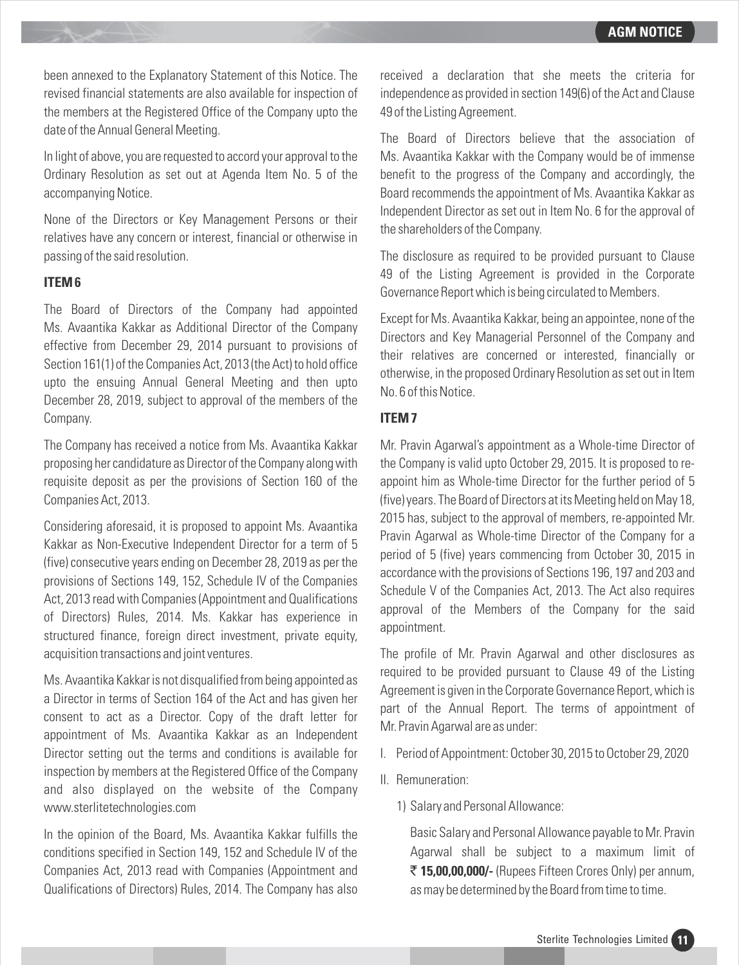been annexed to the Explanatory Statement of this Notice. The revised financial statements are also available for inspection of the members at the Registered Office of the Company upto the date of the Annual General Meeting.

In light of above, you are requested to accord your approval to the Ordinary Resolution as set out at Agenda Item No. 5 of the accompanying Notice.

None of the Directors or Key Management Persons or their relatives have any concern or interest, financial or otherwise in passing of the said resolution.

#### **ITEM 6**

The Board of Directors of the Company had appointed Ms. Avaantika Kakkar as Additional Director of the Company effective from December 29, 2014 pursuant to provisions of Section 161(1) of the Companies Act, 2013 (the Act) to hold office upto the ensuing Annual General Meeting and then upto December 28, 2019, subject to approval of the members of the Company.

The Company has received a notice from Ms. Avaantika Kakkar proposing her candidature as Director of the Company along with requisite deposit as per the provisions of Section 160 of the Companies Act, 2013.

Considering aforesaid, it is proposed to appoint Ms. Avaantika Kakkar as Non-Executive Independent Director for a term of 5 (five) consecutive years ending on December 28, 2019 as per the provisions of Sections 149, 152, Schedule IV of the Companies Act, 2013 read with Companies (Appointment and Qualifications of Directors) Rules, 2014. Ms. Kakkar has experience in structured finance, foreign direct investment, private equity, acquisition transactions and joint ventures.

Ms. Avaantika Kakkar is not disqualified from being appointed as a Director in terms of Section 164 of the Act and has given her consent to act as a Director. Copy of the draft letter for appointment of Ms. Avaantika Kakkar as an Independent Director setting out the terms and conditions is available for inspection by members at the Registered Office of the Company and also displayed on the website of the Company www.sterlitetechnologies.com

In the opinion of the Board, Ms. Avaantika Kakkar fulfills the conditions specified in Section 149, 152 and Schedule IV of the Companies Act, 2013 read with Companies (Appointment and Qualifications of Directors) Rules, 2014. The Company has also

received a declaration that she meets the criteria for independence as provided in section 149(6) of the Act and Clause 49 of the Listing Agreement.

The Board of Directors believe that the association of Ms. Avaantika Kakkar with the Company would be of immense benefit to the progress of the Company and accordingly, the Board recommends the appointment of Ms. Avaantika Kakkar as Independent Director as set out in Item No. 6 for the approval of the shareholders of the Company.

The disclosure as required to be provided pursuant to Clause 49 of the Listing Agreement is provided in the Corporate Governance Report which is being circulated to Members.

Except for Ms. Avaantika Kakkar, being an appointee, none of the Directors and Key Managerial Personnel of the Company and their relatives are concerned or interested, financially or otherwise, in the proposed Ordinary Resolution as set out in Item No. 6 of this Notice.

#### **ITEM 7**

Mr. Pravin Agarwal's appointment as a Whole-time Director of the Company is valid upto October 29, 2015. It is proposed to reappoint him as Whole-time Director for the further period of 5 (five) years. The Board of Directors at its Meeting held on May 18, 2015 has, subject to the approval of members, re-appointed Mr. Pravin Agarwal as Whole-time Director of the Company for a period of 5 (five) years commencing from October 30, 2015 in accordance with the provisions of Sections 196, 197 and 203 and Schedule V of the Companies Act, 2013. The Act also requires approval of the Members of the Company for the said appointment.

The profile of Mr. Pravin Agarwal and other disclosures as required to be provided pursuant to Clause 49 of the Listing Agreement is given in the Corporate Governance Report, which is part of the Annual Report. The terms of appointment of Mr. Pravin Agarwal are as under:

- I. Period of Appointment: October 30, 2015 to October 29, 2020
- II. Remuneration:
	- 1) Salary and Personal Allowance:

Basic Salary and Personal Allowance payable to Mr. Pravin Agarwal shall be subject to a maximum limit of ` **15,00,00,000/-** (Rupees Fifteen Crores Only) per annum, as may be determined by the Board from time to time.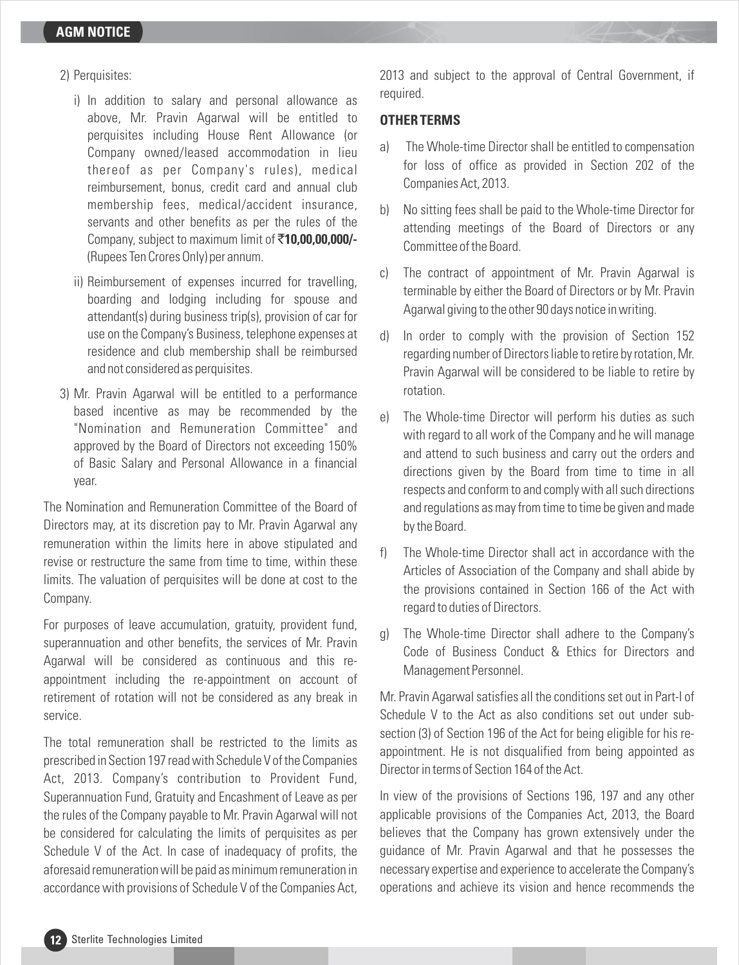- 2) Perquisites:
	- i) In addition to salary and personal allowance as above, Mr. Pravin Agarwal will be entitled to perquisites including House Rent Allowance (or Company owned/leased accommodation in lieu thereof as per Company's rules), medical reimbursement, bonus, credit card and annual club membership fees, medical/accident insurance, servants and other benefits as per the rules of the Company, subject to maximum limit of `**10,00,00,000/-** (Rupees Ten Crores Only) per annum.
	- ii) Reimbursement of expenses incurred for travelling, boarding and lodging including for spouse and attendant(s) during business trip(s), provision of car for use on the Company's Business, telephone expenses at residence and club membership shall be reimbursed and not considered as perquisites.
- 3) Mr. Pravin Agarwal will be entitled to a performance based incentive as may be recommended by the "Nomination and Remuneration Committee" and approved by the Board of Directors not exceeding 150% of Basic Salary and Personal Allowance in a financial year.

The Nomination and Remuneration Committee of the Board of Directors may, at its discretion pay to Mr. Pravin Agarwal any remuneration within the limits here in above stipulated and revise or restructure the same from time to time, within these limits. The valuation of perquisites will be done at cost to the Company.

For purposes of leave accumulation, gratuity, provident fund, superannuation and other benefits, the services of Mr. Pravin Agarwal will be considered as continuous and this reappointment including the re-appointment on account of retirement of rotation will not be considered as any break in service.

The total remuneration shall be restricted to the limits as prescribed in Section 197 read with Schedule V of the Companies Act, 2013. Company's contribution to Provident Fund, Superannuation Fund, Gratuity and Encashment of Leave as per the rules of the Company payable to Mr. Pravin Agarwal will not be considered for calculating the limits of perquisites as per Schedule V of the Act. In case of inadequacy of profits, the aforesaid remuneration will be paid as minimum remuneration in accordance with provisions of Schedule V of the Companies Act, 2013 and subject to the approval of Central Government, if required.

#### **OTHER TERMS**

- a) The Whole-time Director shall be entitled to compensation for loss of office as provided in Section 202 of the Companies Act, 2013.
- b) No sitting fees shall be paid to the Whole-time Director for attending meetings of the Board of Directors or any Committee of the Board.
- c) The contract of appointment of Mr. Pravin Agarwal is terminable by either the Board of Directors or by Mr. Pravin Agarwal giving to the other 90 days notice in writing.
- d) In order to comply with the provision of Section 152 regarding number of Directors liable to retire by rotation, Mr. Pravin Agarwal will be considered to be liable to retire by rotation.
- e) The Whole-time Director will perform his duties as such with regard to all work of the Company and he will manage and attend to such business and carry out the orders and directions given by the Board from time to time in all respects and conform to and comply with all such directions and regulations as may from time to time be given and made by the Board.
- f) The Whole-time Director shall act in accordance with the Articles of Association of the Company and shall abide by the provisions contained in Section 166 of the Act with regard to duties of Directors.
- g) The Whole-time Director shall adhere to the Company's Code of Business Conduct & Ethics for Directors and Management Personnel.

Mr. Pravin Agarwal satisfies all the conditions set out in Part-I of Schedule V to the Act as also conditions set out under subsection (3) of Section 196 of the Act for being eligible for his reappointment. He is not disqualified from being appointed as Director in terms of Section 164 of the Act.

In view of the provisions of Sections 196, 197 and any other applicable provisions of the Companies Act, 2013, the Board believes that the Company has grown extensively under the guidance of Mr. Pravin Agarwal and that he possesses the necessary expertise and experience to accelerate the Company's operations and achieve its vision and hence recommends the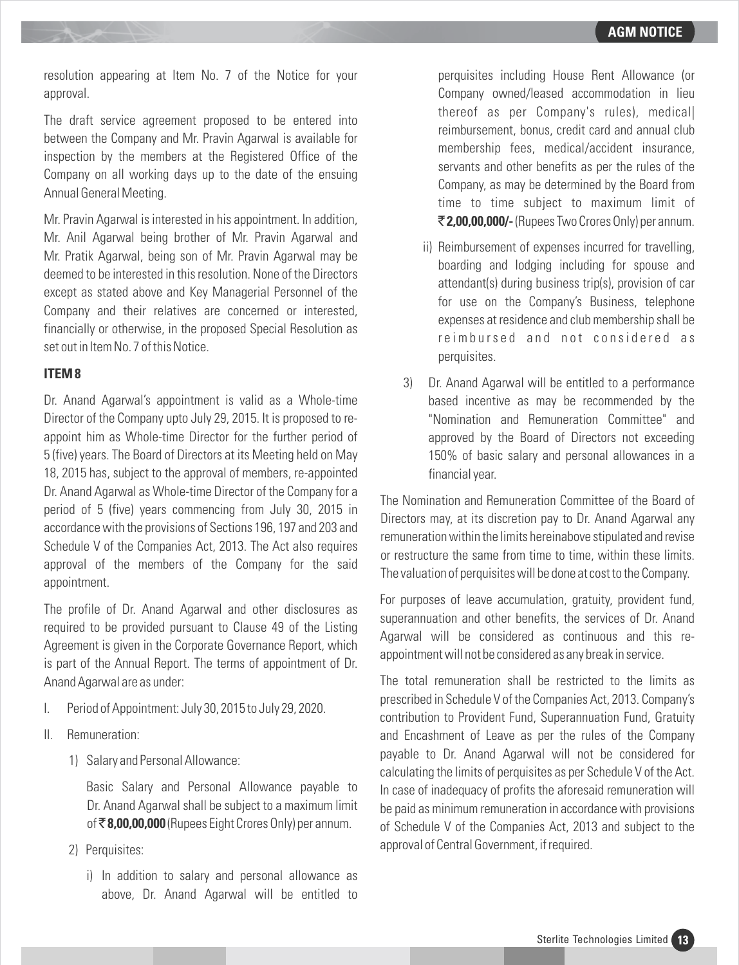resolution appearing at Item No. 7 of the Notice for your approval.

The draft service agreement proposed to be entered into between the Company and Mr. Pravin Agarwal is available for inspection by the members at the Registered Office of the Company on all working days up to the date of the ensuing Annual General Meeting.

Mr. Pravin Agarwal is interested in his appointment. In addition, Mr. Anil Agarwal being brother of Mr. Pravin Agarwal and Mr. Pratik Agarwal, being son of Mr. Pravin Agarwal may be deemed to be interested in this resolution. None of the Directors except as stated above and Key Managerial Personnel of the Company and their relatives are concerned or interested, financially or otherwise, in the proposed Special Resolution as set out in Item No. 7 of this Notice.

#### **ITEM 8**

Dr. Anand Agarwal's appointment is valid as a Whole-time Director of the Company upto July 29, 2015. It is proposed to reappoint him as Whole-time Director for the further period of 5 (five) years. The Board of Directors at its Meeting held on May 18, 2015 has, subject to the approval of members, re-appointed Dr. Anand Agarwal as Whole-time Director of the Company for a period of 5 (five) years commencing from July 30, 2015 in accordance with the provisions of Sections 196, 197 and 203 and Schedule V of the Companies Act, 2013. The Act also requires approval of the members of the Company for the said appointment.

The profile of Dr. Anand Agarwal and other disclosures as required to be provided pursuant to Clause 49 of the Listing Agreement is given in the Corporate Governance Report, which is part of the Annual Report. The terms of appointment of Dr. Anand Agarwal are as under:

- I. Period of Appointment: July 30, 2015 to July 29, 2020.
- II. Remuneration:
	- 1) Salary and Personal Allowance:

Basic Salary and Personal Allowance payable to Dr. Anand Agarwal shall be subject to a maximum limit of ` **8,00,00,000** (Rupees Eight Crores Only) per annum.

- 2) Perquisites:
	- i) In addition to salary and personal allowance as above, Dr. Anand Agarwal will be entitled to

perquisites including House Rent Allowance (or Company owned/leased accommodation in lieu thereof as per Company's rules), medical| reimbursement, bonus, credit card and annual club membership fees, medical/accident insurance, servants and other benefits as per the rules of the Company, as may be determined by the Board from time to time subject to maximum limit of ` **2,00,00,000/-**(Rupees Two Crores Only) per annum.

- ii) Reimbursement of expenses incurred for travelling, boarding and lodging including for spouse and attendant(s) during business trip(s), provision of car for use on the Company's Business, telephone expenses at residence and club membership shall be reimbursed and not considered as perquisites.
- 3) Dr. Anand Agarwal will be entitled to a performance based incentive as may be recommended by the "Nomination and Remuneration Committee" and approved by the Board of Directors not exceeding 150% of basic salary and personal allowances in a financial year.

The Nomination and Remuneration Committee of the Board of Directors may, at its discretion pay to Dr. Anand Agarwal any remuneration within the limits hereinabove stipulated and revise or restructure the same from time to time, within these limits. The valuation of perquisites will be done at cost to the Company.

For purposes of leave accumulation, gratuity, provident fund, superannuation and other benefits, the services of Dr. Anand Agarwal will be considered as continuous and this reappointment will not be considered as any break in service.

The total remuneration shall be restricted to the limits as prescribed in Schedule V of the Companies Act, 2013. Company's contribution to Provident Fund, Superannuation Fund, Gratuity and Encashment of Leave as per the rules of the Company payable to Dr. Anand Agarwal will not be considered for calculating the limits of perquisites as per Schedule V of the Act. In case of inadequacy of profits the aforesaid remuneration will be paid as minimum remuneration in accordance with provisions of Schedule V of the Companies Act, 2013 and subject to the approval of Central Government, if required.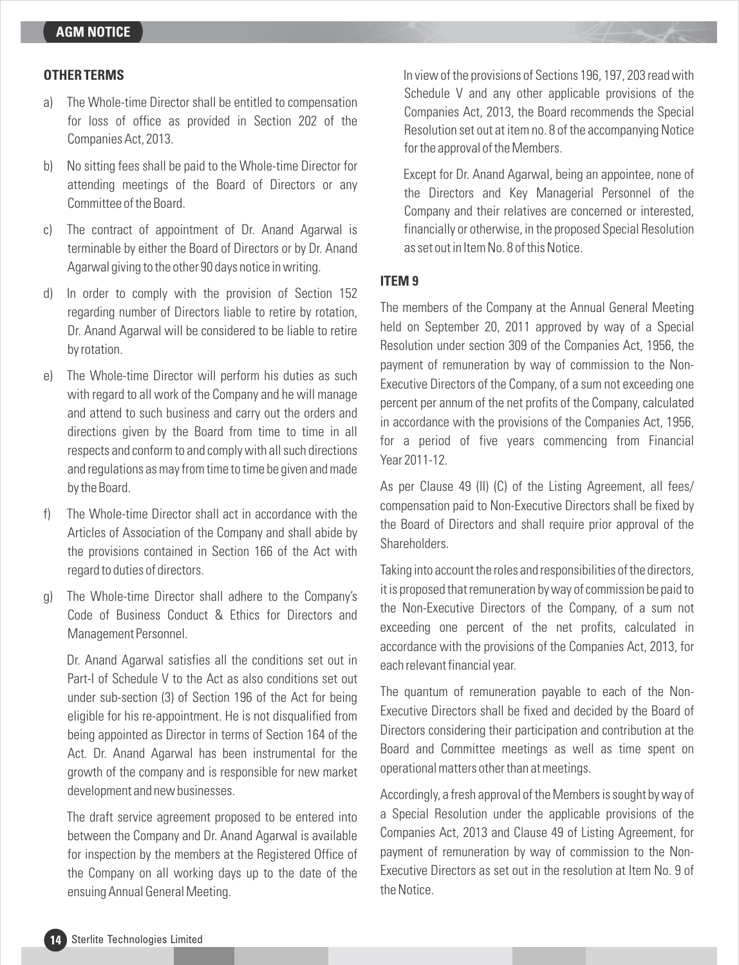#### **OTHER TERMS**

- a) The Whole-time Director shall be entitled to compensation for loss of office as provided in Section 202 of the Companies Act, 2013.
- b) No sitting fees shall be paid to the Whole-time Director for attending meetings of the Board of Directors or any Committee of the Board.
- c) The contract of appointment of Dr. Anand Agarwal is terminable by either the Board of Directors or by Dr. Anand Agarwal giving to the other 90 days notice in writing.
- d) In order to comply with the provision of Section 152 regarding number of Directors liable to retire by rotation, Dr. Anand Agarwal will be considered to be liable to retire by rotation.
- e) The Whole-time Director will perform his duties as such with regard to all work of the Company and he will manage and attend to such business and carry out the orders and directions given by the Board from time to time in all respects and conform to and comply with all such directions and regulations as may from time to time be given and made by the Board.
- f) The Whole-time Director shall act in accordance with the Articles of Association of the Company and shall abide by the provisions contained in Section 166 of the Act with regard to duties of directors.
- g) The Whole-time Director shall adhere to the Company's Code of Business Conduct & Ethics for Directors and Management Personnel.

Dr. Anand Agarwal satisfies all the conditions set out in Part-I of Schedule V to the Act as also conditions set out under sub-section (3) of Section 196 of the Act for being eligible for his re-appointment. He is not disqualified from being appointed as Director in terms of Section 164 of the Act. Dr. Anand Agarwal has been instrumental for the growth of the company and is responsible for new market development and new businesses.

The draft service agreement proposed to be entered into between the Company and Dr. Anand Agarwal is available for inspection by the members at the Registered Office of the Company on all working days up to the date of the ensuing Annual General Meeting.

In view of the provisions of Sections 196, 197, 203 read with Schedule V and any other applicable provisions of the Companies Act, 2013, the Board recommends the Special Resolution set out at item no. 8 of the accompanying Notice for the approval of the Members.

Except for Dr. Anand Agarwal, being an appointee, none of the Directors and Key Managerial Personnel of the Company and their relatives are concerned or interested, financially or otherwise, in the proposed Special Resolution as set out in Item No. 8 of this Notice.

#### **ITEM 9**

The members of the Company at the Annual General Meeting held on September 20, 2011 approved by way of a Special Resolution under section 309 of the Companies Act, 1956, the payment of remuneration by way of commission to the Non-Executive Directors of the Company, of a sum not exceeding one percent per annum of the net profits of the Company, calculated in accordance with the provisions of the Companies Act, 1956, for a period of five years commencing from Financial Year 2011-12.

As per Clause 49 (II) (C) of the Listing Agreement, all fees/ compensation paid to Non-Executive Directors shall be fixed by the Board of Directors and shall require prior approval of the Shareholders.

Taking into account the roles and responsibilities of the directors, it is proposed that remuneration by way of commission be paid to the Non-Executive Directors of the Company, of a sum not exceeding one percent of the net profits, calculated in accordance with the provisions of the Companies Act, 2013, for each relevant financial year.

The quantum of remuneration payable to each of the Non-Executive Directors shall be fixed and decided by the Board of Directors considering their participation and contribution at the Board and Committee meetings as well as time spent on operational matters other than at meetings.

Accordingly, a fresh approval of the Members is sought by way of a Special Resolution under the applicable provisions of the Companies Act, 2013 and Clause 49 of Listing Agreement, for payment of remuneration by way of commission to the Non-Executive Directors as set out in the resolution at Item No. 9 of the Notice.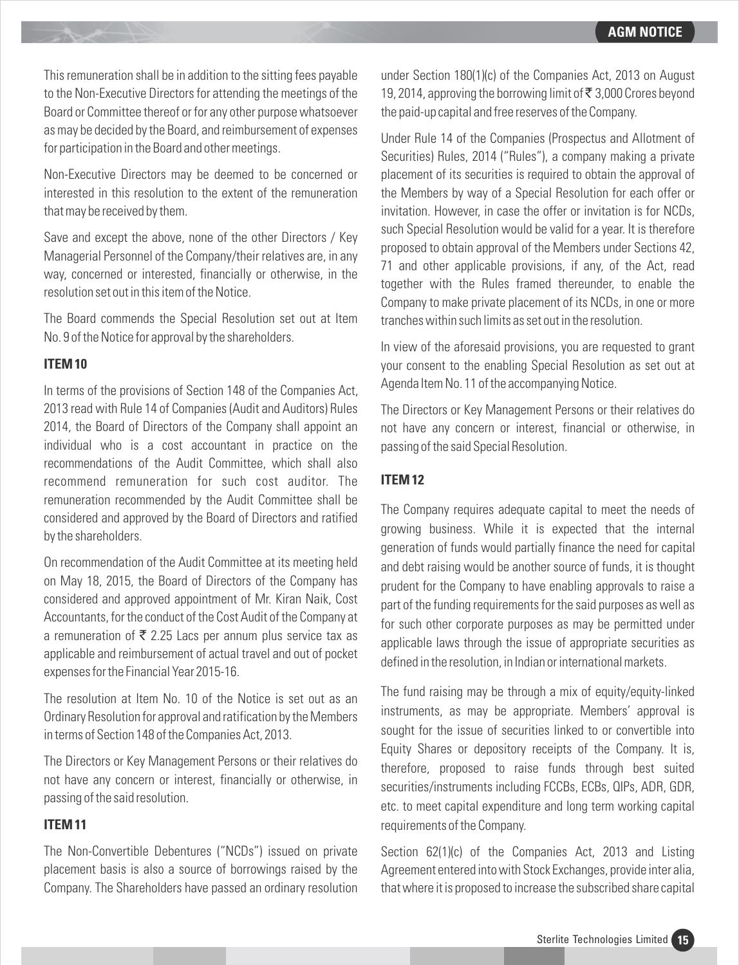This remuneration shall be in addition to the sitting fees payable to the Non-Executive Directors for attending the meetings of the Board or Committee thereof or for any other purpose whatsoever as may be decided by the Board, and reimbursement of expenses for participation in the Board and other meetings.

Non-Executive Directors may be deemed to be concerned or interested in this resolution to the extent of the remuneration that may be received by them.

Save and except the above, none of the other Directors / Key Managerial Personnel of the Company/their relatives are, in any way, concerned or interested, financially or otherwise, in the resolution set out in this item of the Notice.

The Board commends the Special Resolution set out at Item No. 9 of the Notice for approval by the shareholders.

#### **ITEM 10**

In terms of the provisions of Section 148 of the Companies Act, 2013 read with Rule 14 of Companies (Audit and Auditors) Rules 2014, the Board of Directors of the Company shall appoint an individual who is a cost accountant in practice on the recommendations of the Audit Committee, which shall also recommend remuneration for such cost auditor. The remuneration recommended by the Audit Committee shall be considered and approved by the Board of Directors and ratified by the shareholders.

On recommendation of the Audit Committee at its meeting held on May 18, 2015, the Board of Directors of the Company has considered and approved appointment of Mr. Kiran Naik, Cost Accountants, for the conduct of the Cost Audit of the Company at a remuneration of  $\bar{\tau}$  2.25 Lacs per annum plus service tax as applicable and reimbursement of actual travel and out of pocket expenses for the Financial Year 2015-16.

The resolution at Item No. 10 of the Notice is set out as an Ordinary Resolution for approval and ratification by the Members in terms of Section 148 of the Companies Act, 2013.

The Directors or Key Management Persons or their relatives do not have any concern or interest, financially or otherwise, in passing of the said resolution.

#### **ITEM 11**

The Non-Convertible Debentures ("NCDs") issued on private placement basis is also a source of borrowings raised by the Company. The Shareholders have passed an ordinary resolution under Section 180(1)(c) of the Companies Act, 2013 on August 19, 2014, approving the borrowing limit of  $\bar{\bar{\xi}}$  3,000 Crores beyond the paid-up capital and free reserves of the Company.

Under Rule 14 of the Companies (Prospectus and Allotment of Securities) Rules, 2014 ("Rules"), a company making a private placement of its securities is required to obtain the approval of the Members by way of a Special Resolution for each offer or invitation. However, in case the offer or invitation is for NCDs, such Special Resolution would be valid for a year. It is therefore proposed to obtain approval of the Members under Sections 42, 71 and other applicable provisions, if any, of the Act, read together with the Rules framed thereunder, to enable the Company to make private placement of its NCDs, in one or more tranches within such limits as set out in the resolution.

In view of the aforesaid provisions, you are requested to grant your consent to the enabling Special Resolution as set out at Agenda Item No. 11 of the accompanying Notice.

The Directors or Key Management Persons or their relatives do not have any concern or interest, financial or otherwise, in passing of the said Special Resolution.

## **ITEM 12**

The Company requires adequate capital to meet the needs of growing business. While it is expected that the internal generation of funds would partially finance the need for capital and debt raising would be another source of funds, it is thought prudent for the Company to have enabling approvals to raise a part of the funding requirements for the said purposes as well as for such other corporate purposes as may be permitted under applicable laws through the issue of appropriate securities as defined in the resolution, in Indian or international markets.

The fund raising may be through a mix of equity/equity-linked instruments, as may be appropriate. Members' approval is sought for the issue of securities linked to or convertible into Equity Shares or depository receipts of the Company. It is, therefore, proposed to raise funds through best suited securities/instruments including FCCBs, ECBs, QIPs, ADR, GDR, etc. to meet capital expenditure and long term working capital requirements of the Company.

Section 62(1)(c) of the Companies Act, 2013 and Listing Agreement entered into with Stock Exchanges, provide inter alia, that where it is proposed to increase the subscribed share capital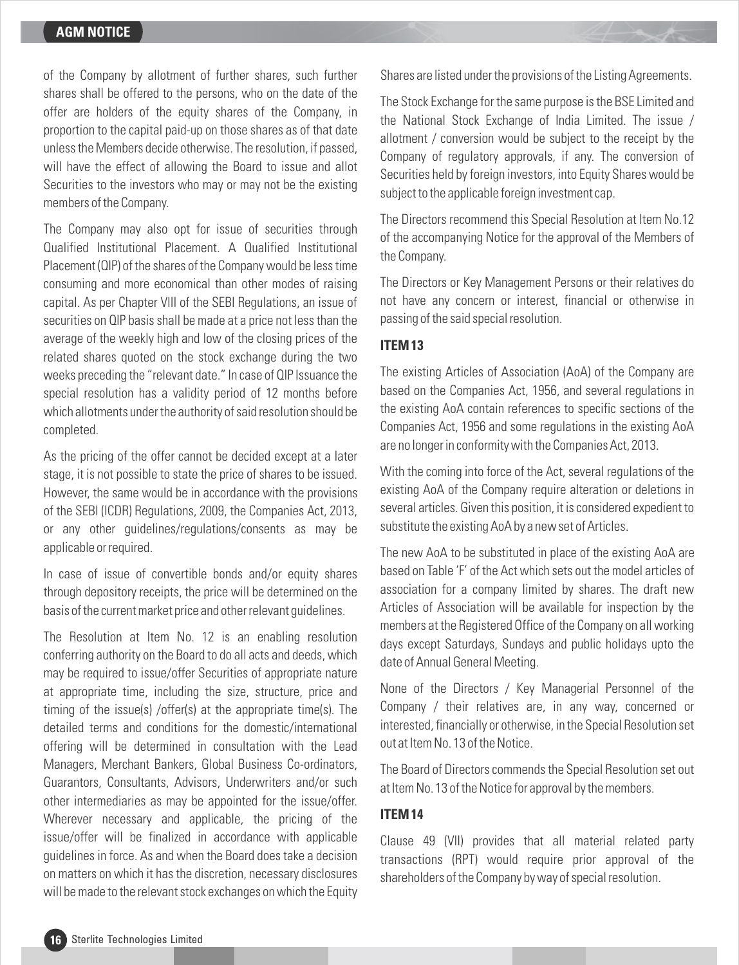of the Company by allotment of further shares, such further shares shall be offered to the persons, who on the date of the offer are holders of the equity shares of the Company, in proportion to the capital paid-up on those shares as of that date unless the Members decide otherwise. The resolution, if passed, will have the effect of allowing the Board to issue and allot Securities to the investors who may or may not be the existing members of the Company.

The Company may also opt for issue of securities through Qualified Institutional Placement. A Qualified Institutional Placement (QIP) of the shares of the Company would be less time consuming and more economical than other modes of raising capital. As per Chapter VIII of the SEBI Regulations, an issue of securities on QIP basis shall be made at a price not less than the average of the weekly high and low of the closing prices of the related shares quoted on the stock exchange during the two weeks preceding the "relevant date." In case of QIP Issuance the special resolution has a validity period of 12 months before which allotments under the authority of said resolution should be completed.

As the pricing of the offer cannot be decided except at a later stage, it is not possible to state the price of shares to be issued. However, the same would be in accordance with the provisions of the SEBI (ICDR) Regulations, 2009, the Companies Act, 2013, or any other guidelines/regulations/consents as may be applicable or required.

In case of issue of convertible bonds and/or equity shares through depository receipts, the price will be determined on the basis of the current market price and other relevant guidelines.

The Resolution at Item No. 12 is an enabling resolution conferring authority on the Board to do all acts and deeds, which may be required to issue/offer Securities of appropriate nature at appropriate time, including the size, structure, price and timing of the issue(s) /offer(s) at the appropriate time(s). The detailed terms and conditions for the domestic/international offering will be determined in consultation with the Lead Managers, Merchant Bankers, Global Business Co-ordinators, Guarantors, Consultants, Advisors, Underwriters and/or such other intermediaries as may be appointed for the issue/offer. Wherever necessary and applicable, the pricing of the issue/offer will be finalized in accordance with applicable guidelines in force. As and when the Board does take a decision on matters on which it has the discretion, necessary disclosures will be made to the relevant stock exchanges on which the Equity Shares are listed under the provisions of the Listing Agreements.

The Stock Exchange for the same purpose is the BSE Limited and the National Stock Exchange of India Limited. The issue / allotment / conversion would be subject to the receipt by the Company of regulatory approvals, if any. The conversion of Securities held by foreign investors, into Equity Shares would be subject to the applicable foreign investment cap.

The Directors recommend this Special Resolution at Item No.12 of the accompanying Notice for the approval of the Members of the Company.

The Directors or Key Management Persons or their relatives do not have any concern or interest, financial or otherwise in passing of the said special resolution.

## **ITEM 13**

The existing Articles of Association (AoA) of the Company are based on the Companies Act, 1956, and several regulations in the existing AoA contain references to specific sections of the Companies Act, 1956 and some regulations in the existing AoA are no longer in conformity with the Companies Act, 2013.

With the coming into force of the Act, several regulations of the existing AoA of the Company require alteration or deletions in several articles. Given this position, it is considered expedient to substitute the existing AoA by a new set of Articles.

The new AoA to be substituted in place of the existing AoA are based on Table 'F' of the Act which sets out the model articles of association for a company limited by shares. The draft new Articles of Association will be available for inspection by the members at the Registered Office of the Company on all working days except Saturdays, Sundays and public holidays upto the date of Annual General Meeting.

None of the Directors / Key Managerial Personnel of the Company / their relatives are, in any way, concerned or interested, financially or otherwise, in the Special Resolution set out at Item No. 13 of the Notice.

The Board of Directors commends the Special Resolution set out at Item No. 13 of the Notice for approval by the members.

#### **ITEM 14**

Clause 49 (VII) provides that all material related party transactions (RPT) would require prior approval of the shareholders of the Company by way of special resolution.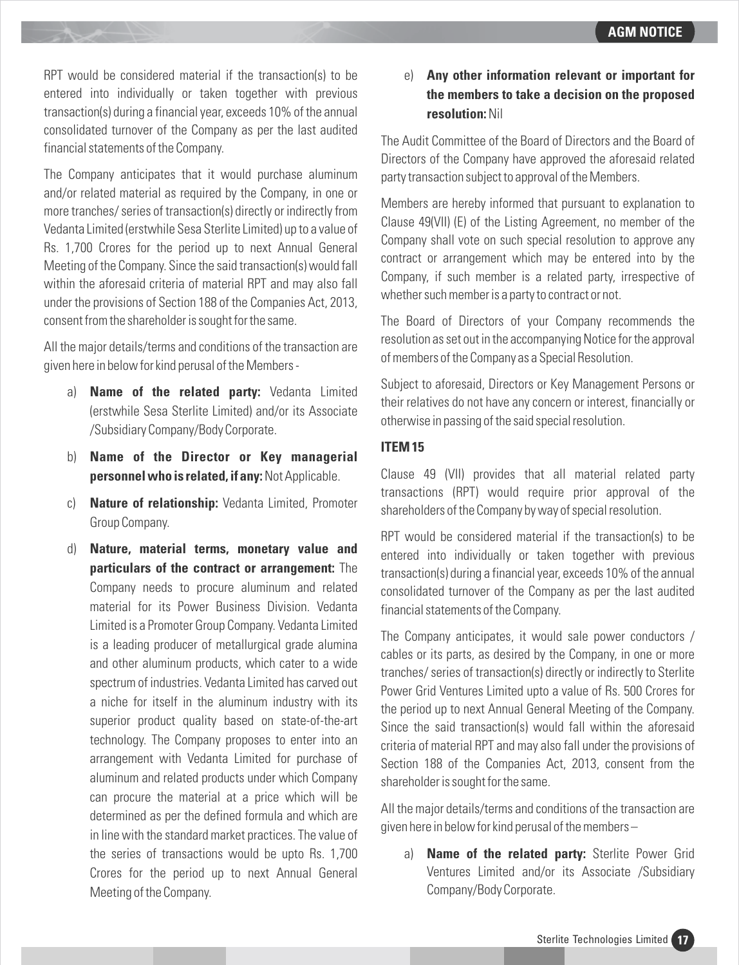RPT would be considered material if the transaction(s) to be entered into individually or taken together with previous transaction(s) during a financial year, exceeds 10% of the annual consolidated turnover of the Company as per the last audited financial statements of the Company.

The Company anticipates that it would purchase aluminum and/or related material as required by the Company, in one or more tranches/ series of transaction(s) directly or indirectly from Vedanta Limited (erstwhile Sesa Sterlite Limited) up to a value of Rs. 1,700 Crores for the period up to next Annual General Meeting of the Company. Since the said transaction(s) would fall within the aforesaid criteria of material RPT and may also fall under the provisions of Section 188 of the Companies Act, 2013, consent from the shareholder is sought for the same.

All the major details/terms and conditions of the transaction are given here in below for kind perusal of the Members -

- a) **Name of the related party:** Vedanta Limited (erstwhile Sesa Sterlite Limited) and/or its Associate /Subsidiary Company/Body Corporate.
- b) **Name of the Director or Key managerial personnel who is related, if any:**Not Applicable.
- c) **Nature of relationship:** Vedanta Limited, Promoter Group Company.
- d) **Nature, material terms, monetary value and particulars of the contract or arrangement:** The Company needs to procure aluminum and related material for its Power Business Division. Vedanta Limited is a Promoter Group Company. Vedanta Limited is a leading producer of metallurgical grade alumina and other aluminum products, which cater to a wide spectrum of industries. Vedanta Limited has carved out a niche for itself in the aluminum industry with its superior product quality based on state-of-the-art technology. The Company proposes to enter into an arrangement with Vedanta Limited for purchase of aluminum and related products under which Company can procure the material at a price which will be determined as per the defined formula and which are in line with the standard market practices. The value of the series of transactions would be upto Rs. 1,700 Crores for the period up to next Annual General Meeting of the Company.

# e) **Any other information relevant or important for the members to take a decision on the proposed resolution:**Nil

The Audit Committee of the Board of Directors and the Board of Directors of the Company have approved the aforesaid related party transaction subject to approval of the Members.

Members are hereby informed that pursuant to explanation to Clause 49(VII) (E) of the Listing Agreement, no member of the Company shall vote on such special resolution to approve any contract or arrangement which may be entered into by the Company, if such member is a related party, irrespective of whether such member is a party to contract or not.

The Board of Directors of your Company recommends the resolution as set out in the accompanying Notice for the approval of members of the Company as a Special Resolution.

Subject to aforesaid, Directors or Key Management Persons or their relatives do not have any concern or interest, financially or otherwise in passing of the said special resolution.

# **ITEM 15**

Clause 49 (VII) provides that all material related party transactions (RPT) would require prior approval of the shareholders of the Company by way of special resolution.

RPT would be considered material if the transaction(s) to be entered into individually or taken together with previous transaction(s) during a financial year, exceeds 10% of the annual consolidated turnover of the Company as per the last audited financial statements of the Company.

The Company anticipates, it would sale power conductors / cables or its parts, as desired by the Company, in one or more tranches/ series of transaction(s) directly or indirectly to Sterlite Power Grid Ventures Limited upto a value of Rs. 500 Crores for the period up to next Annual General Meeting of the Company. Since the said transaction(s) would fall within the aforesaid criteria of material RPT and may also fall under the provisions of Section 188 of the Companies Act, 2013, consent from the shareholder is sought for the same.

All the major details/terms and conditions of the transaction are given here in below for kind perusal of the members –

a) **Name of the related party:** Sterlite Power Grid Ventures Limited and/or its Associate /Subsidiary Company/Body Corporate.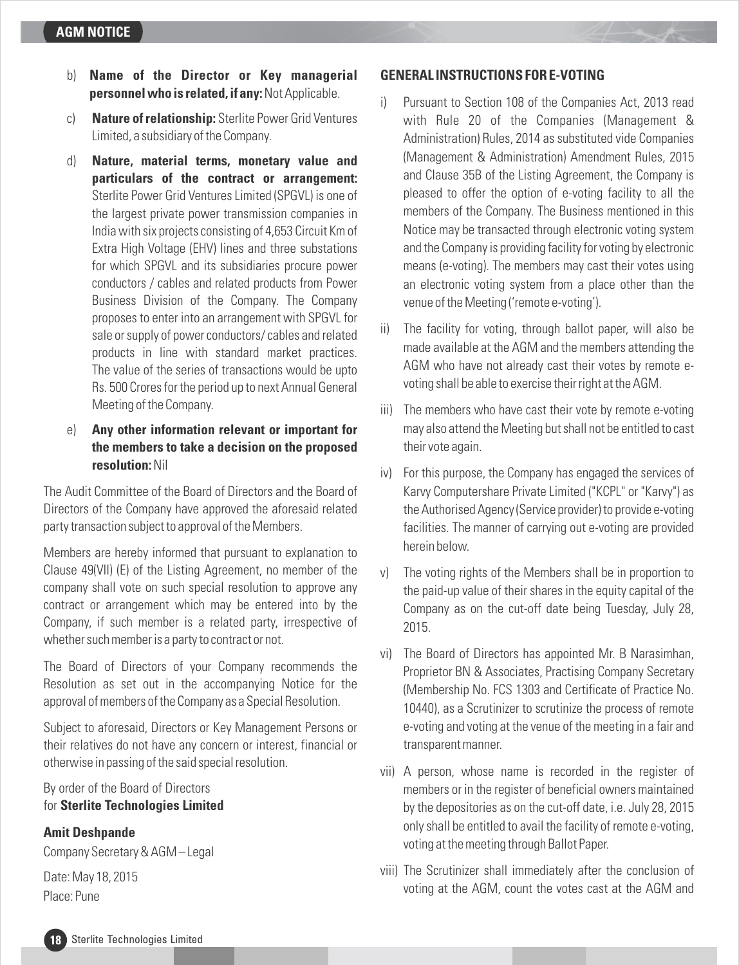- b) **Name of the Director or Key managerial personnel who is related, if any:**Not Applicable.
- c) **Nature of relationship:** Sterlite Power Grid Ventures Limited, a subsidiary of the Company.
- d) **Nature, material terms, monetary value and particulars of the contract or arrangement:** Sterlite Power Grid Ventures Limited (SPGVL) is one of the largest private power transmission companies in India with six projects consisting of 4,653 Circuit Km of Extra High Voltage (EHV) lines and three substations for which SPGVL and its subsidiaries procure power conductors / cables and related products from Power Business Division of the Company. The Company proposes to enter into an arrangement with SPGVL for sale or supply of power conductors/ cables and related products in line with standard market practices. The value of the series of transactions would be upto Rs. 500 Crores for the period up to next Annual General Meeting of the Company.
- e) **Any other information relevant or important for the members to take a decision on the proposed resolution:**Nil

The Audit Committee of the Board of Directors and the Board of Directors of the Company have approved the aforesaid related party transaction subject to approval of the Members.

Members are hereby informed that pursuant to explanation to Clause 49(VII) (E) of the Listing Agreement, no member of the company shall vote on such special resolution to approve any contract or arrangement which may be entered into by the Company, if such member is a related party, irrespective of whether such member is a party to contract or not.

The Board of Directors of your Company recommends the Resolution as set out in the accompanying Notice for the approval of members of the Company as a Special Resolution.

Subject to aforesaid, Directors or Key Management Persons or their relatives do not have any concern or interest, financial or otherwise in passing of the said special resolution.

By order of the Board of Directors for **Sterlite Technologies Limited**

## **Amit Deshpande**

Company Secretary & AGM – Legal

Date: May 18, 2015 Place: Pune

#### **GENERAL INSTRUCTIONS FOR E-VOTING**

- i) Pursuant to Section 108 of the Companies Act, 2013 read with Rule 20 of the Companies (Management & Administration) Rules, 2014 as substituted vide Companies (Management & Administration) Amendment Rules, 2015 and Clause 35B of the Listing Agreement, the Company is pleased to offer the option of e-voting facility to all the members of the Company. The Business mentioned in this Notice may be transacted through electronic voting system and the Company is providing facility for voting by electronic means (e-voting). The members may cast their votes using an electronic voting system from a place other than the venue of the Meeting ('remote e-voting').
- ii) The facility for voting, through ballot paper, will also be made available at the AGM and the members attending the AGM who have not already cast their votes by remote evoting shall be able to exercise their right at the AGM.
- iii) The members who have cast their vote by remote e-voting may also attend the Meeting but shall not be entitled to cast their vote again.
- iv) For this purpose, the Company has engaged the services of Karvy Computershare Private Limited ("KCPL" or "Karvy") as the Authorised Agency (Service provider) to provide e-voting facilities. The manner of carrying out e-voting are provided herein below.
- v) The voting rights of the Members shall be in proportion to the paid-up value of their shares in the equity capital of the Company as on the cut-off date being Tuesday, July 28, 2015.
- vi) The Board of Directors has appointed Mr. B Narasimhan, Proprietor BN & Associates, Practising Company Secretary (Membership No. FCS 1303 and Certificate of Practice No. 10440), as a Scrutinizer to scrutinize the process of remote e-voting and voting at the venue of the meeting in a fair and transparent manner.
- voting at the meeting through Ballot Paper. vii) A person, whose name is recorded in the register of members or in the register of beneficial owners maintained by the depositories as on the cut-off date, i.e. July 28, 2015 only shall be entitled to avail the facility of remote e-voting,
- viii) The Scrutinizer shall immediately after the conclusion of voting at the AGM, count the votes cast at the AGM and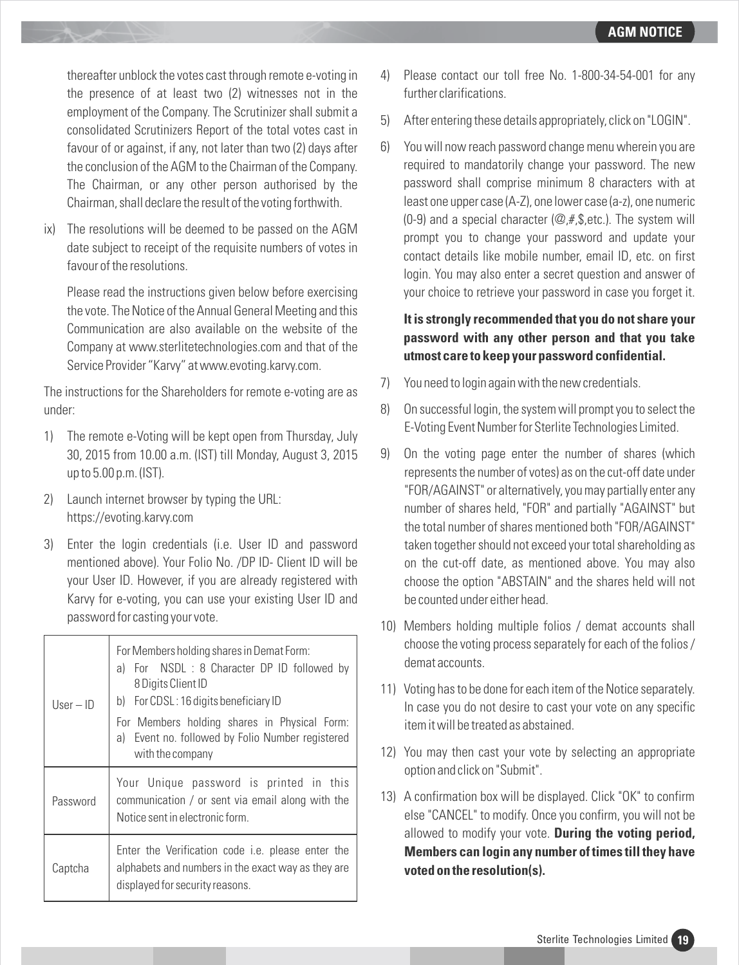thereafter unblock the votes cast through remote e-voting in the presence of at least two (2) witnesses not in the employment of the Company. The Scrutinizer shall submit a consolidated Scrutinizers Report of the total votes cast in favour of or against, if any, not later than two (2) days after the conclusion of the AGM to the Chairman of the Company. The Chairman, or any other person authorised by the Chairman, shall declare the result of the voting forthwith.

ix) The resolutions will be deemed to be passed on the AGM date subject to receipt of the requisite numbers of votes in favour of the resolutions.

Please read the instructions given below before exercising the vote. The Notice of the Annual General Meeting and this Communication are also available on the website of the Company at www.sterlitetechnologies.com and that of the Service Provider "Karvy" at www.evoting.karvy.com.

The instructions for the Shareholders for remote e-voting are as under:

- 1) The remote e-Voting will be kept open from Thursday, July 30, 2015 from 10.00 a.m. (IST) till Monday, August 3, 2015 up to 5.00 p.m. (IST).
- 2) Launch internet browser by typing the URL: https://evoting.karvy.com
- 3) Enter the login credentials (i.e. User ID and password mentioned above). Your Folio No. /DP ID- Client ID will be your User ID. However, if you are already registered with Karvy for e-voting, you can use your existing User ID and password for casting your vote.

| $User - ID$ | For Members holding shares in Demat Form:<br>a) For NSDL : 8 Character DP ID followed by<br>8 Digits Client ID<br>For CDSL: 16 digits beneficiary ID<br>b) |
|-------------|------------------------------------------------------------------------------------------------------------------------------------------------------------|
|             | For Members holding shares in Physical Form:<br>a) Event no. followed by Folio Number registered<br>with the company                                       |
| Password    | Your Unique password is printed in this<br>communication / or sent via email along with the<br>Notice sent in electronic form.                             |
| Captcha     | Enter the Verification code <i>i.e.</i> please enter the<br>alphabets and numbers in the exact way as they are<br>displayed for security reasons.          |

- 4) Please contact our toll free No. 1-800-34-54-001 for any further clarifications.
- 5) After entering these details appropriately, click on "LOGIN".
- 6) You will now reach password change menu wherein you are required to mandatorily change your password. The new password shall comprise minimum 8 characters with at least one upper case (A-Z), one lower case (a-z), one numeric (0-9) and a special character  $(\mathcal{Q}, \#, \mathcal{S}, \text{etc.})$ . The system will prompt you to change your password and update your contact details like mobile number, email ID, etc. on first login. You may also enter a secret question and answer of your choice to retrieve your password in case you forget it.

# **It is strongly recommended that you do not share your password with any other person and that you take utmost care to keep your password confidential.**

- 7) You need to login again with the new credentials.
- 8) On successful login, the system will prompt you to select the E-Voting Event Number for Sterlite Technologies Limited.
- 9) On the voting page enter the number of shares (which represents the number of votes) as on the cut-off date under "FOR/AGAINST" or alternatively, you may partially enter any number of shares held, "FOR" and partially "AGAINST" but the total number of shares mentioned both "FOR/AGAINST" taken together should not exceed your total shareholding as on the cut-off date, as mentioned above. You may also choose the option "ABSTAIN" and the shares held will not be counted under either head.
- 10) Members holding multiple folios / demat accounts shall choose the voting process separately for each of the folios / demat accounts.
- 11) Voting has to be done for each item of the Notice separately. In case you do not desire to cast your vote on any specific item it will be treated as abstained.
- 12) You may then cast your vote by selecting an appropriate option and click on "Submit".
- 13) A confirmation box will be displayed. Click "OK" to confirm else "CANCEL" to modify. Once you confirm, you will not be allowed to modify your vote. **During the voting period, Members can login any number of times till they have voted on the resolution(s).**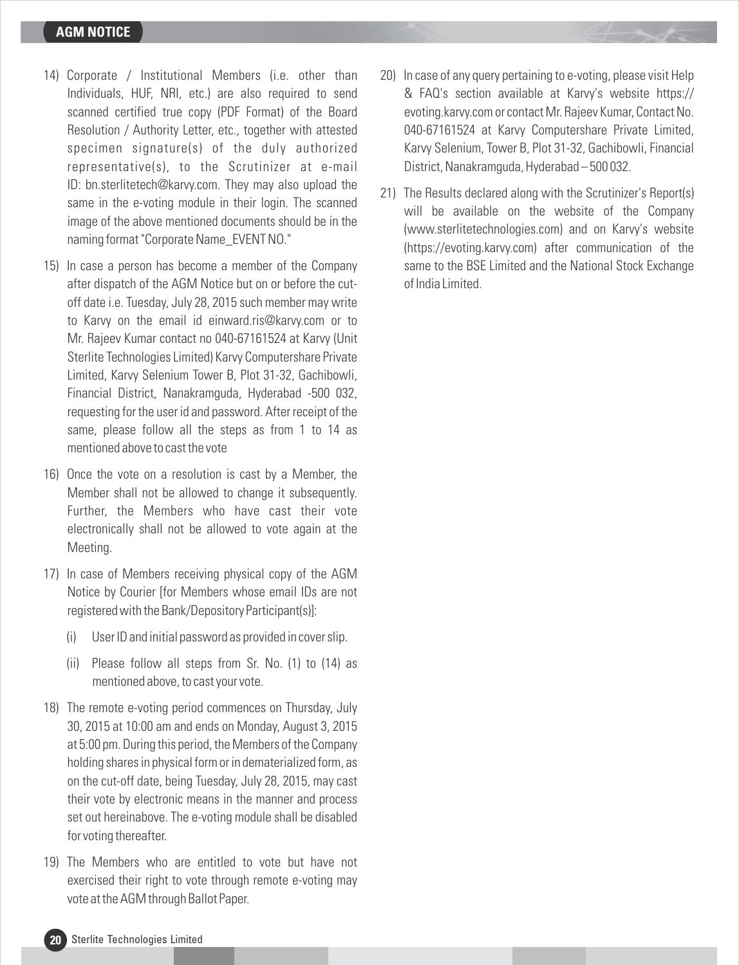## **AGM NOTICE**

- 14) Corporate / Institutional Members (i.e. other than Individuals, HUF, NRI, etc.) are also required to send scanned certified true copy (PDF Format) of the Board Resolution / Authority Letter, etc., together with attested specimen signature(s) of the duly authorized representative(s), to the Scrutinizer at e-mail ID: bn.sterlitetech@karvy.com. They may also upload the same in the e-voting module in their login. The scanned image of the above mentioned documents should be in the naming format "Corporate Name\_EVENT NO."
- 15) In case a person has become a member of the Company after dispatch of the AGM Notice but on or before the cutoff date i.e. Tuesday, July 28, 2015 such member may write to Karvy on the email id einward.ris@karvy.com or to Mr. Rajeev Kumar contact no 040-67161524 at Karvy (Unit Sterlite Technologies Limited) Karvy Computershare Private Limited, Karvy Selenium Tower B, Plot 31-32, Gachibowli, Financial District, Nanakramguda, Hyderabad -500 032, requesting for the user id and password. After receipt of the same, please follow all the steps as from 1 to 14 as mentioned above to cast the vote
- 16) Once the vote on a resolution is cast by a Member, the Member shall not be allowed to change it subsequently. Further, the Members who have cast their vote electronically shall not be allowed to vote again at the Meeting.
- 17) In case of Members receiving physical copy of the AGM Notice by Courier [for Members whose email IDs are not registered with the Bank/Depository Participant(s)]:
	- (i) User ID and initial password as provided in cover slip.
	- (ii) Please follow all steps from Sr. No. (1) to (14) as mentioned above, to cast your vote.
- 18) The remote e-voting period commences on Thursday, July 30, 2015 at 10:00 am and ends on Monday, August 3, 2015 at 5:00 pm. During this period, the Members of the Company holding shares in physical form or in dematerialized form, as on the cut-off date, being Tuesday, July 28, 2015, may cast their vote by electronic means in the manner and process set out hereinabove. The e-voting module shall be disabled for voting thereafter.
- 19) The Members who are entitled to vote but have not exercised their right to vote through remote e-voting may vote at the AGM through Ballot Paper.
- 20) In case of any query pertaining to e-voting, please visit Help & FAQ's section available at Karvy's website https:// evoting.karvy.com or contact Mr. Rajeev Kumar, Contact No. 040-67161524 at Karvy Computershare Private Limited, Karvy Selenium, Tower B, Plot 31-32, Gachibowli, Financial District, Nanakramguda, Hyderabad – 500 032.
- 21) The Results declared along with the Scrutinizer's Report(s) will be available on the website of the Company (www.sterlitetechnologies.com) and on Karvy's website (https://evoting.karvy.com) after communication of the same to the BSE Limited and the National Stock Exchange of India Limited.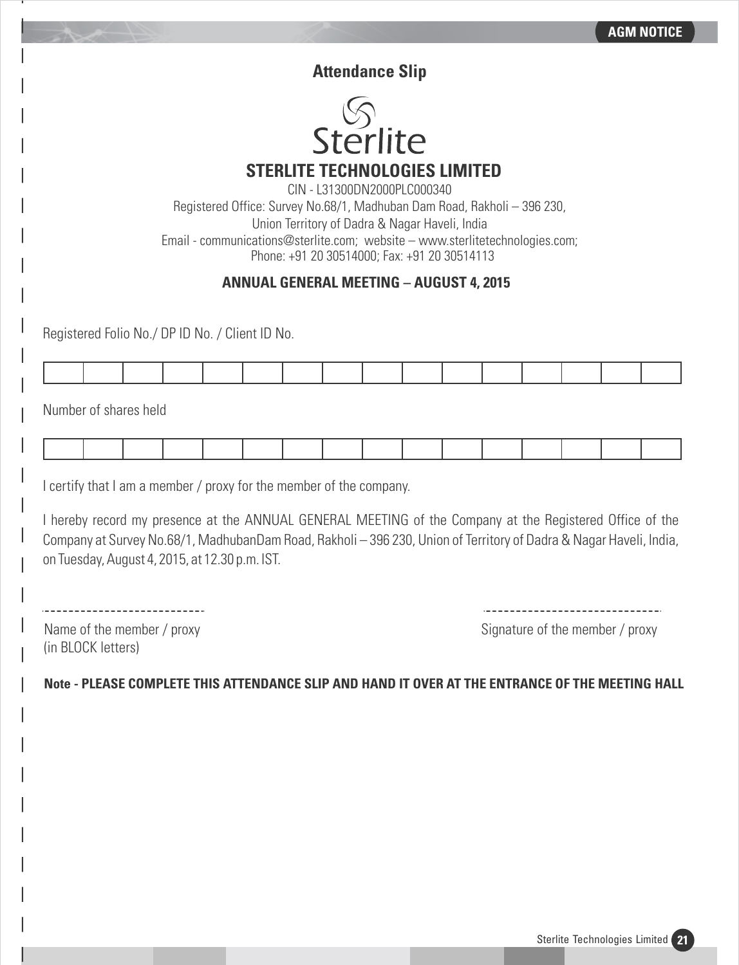# **Attendance Slip**



CIN - L31300DN2000PLC000340 Registered Office: Survey No.68/1, Madhuban Dam Road, Rakholi – 396 230,

Union Territory of Dadra & Nagar Haveli, India

Email - communications@sterlite.com; website – www.sterlitetechnologies.com; Phone: +91 20 30514000; Fax: +91 20 30514113

# **ANNUAL GENERAL MEETING – AUGUST 4, 2015**

Registered Folio No./ DP ID No. / Client ID No.

Number of shares held

I certify that I am a member / proxy for the member of the company.

I hereby record my presence at the ANNUAL GENERAL MEETING of the Company at the Registered Office of the Company at Survey No.68/1, MadhubanDam Road, Rakholi – 396 230, Union of Territory of Dadra & Nagar Haveli, India, on Tuesday, August 4, 2015, at 12.30 p.m. IST.

Name of the member / proxy state of the member / proxy

(in BLOCK letters)

**Note - PLEASE COMPLETE THIS ATTENDANCE SLIP AND HAND IT OVER AT THE ENTRANCE OF THE MEETING HALL**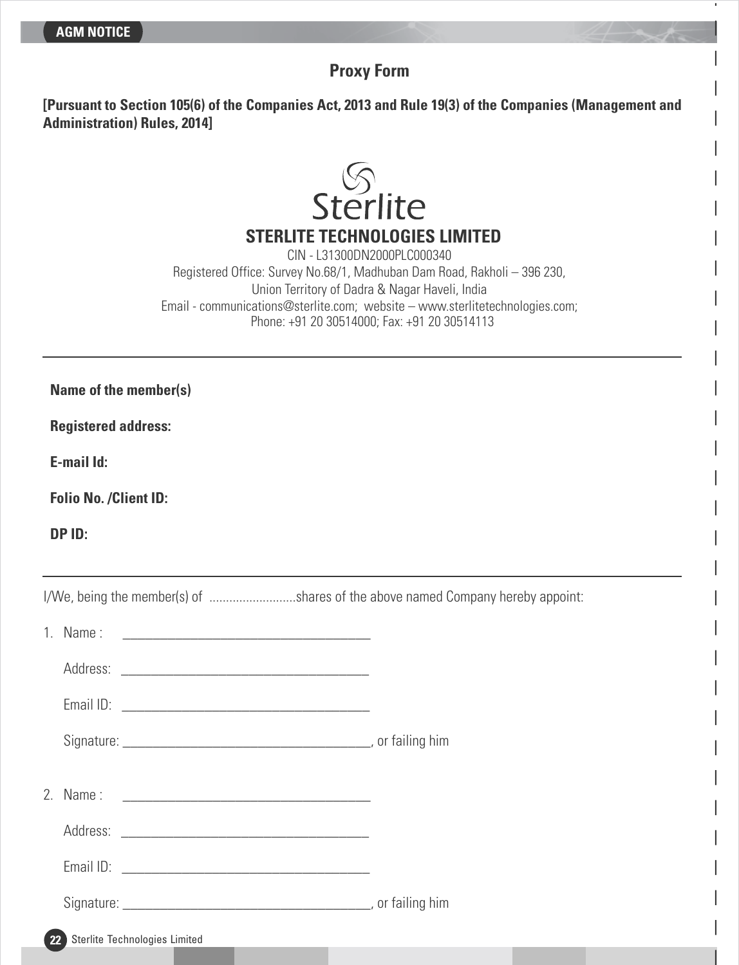# **Proxy Form**

**[Pursuant to Section 105(6) of the Companies Act, 2013 and Rule 19(3) of the Companies (Management and Administration) Rules, 2014]**



**STERLITE TECHNOLOGIES LIMITED**

CIN - L31300DN2000PLC000340 Registered Office: Survey No.68/1, Madhuban Dam Road, Rakholi – 396 230, Union Territory of Dadra & Nagar Haveli, India Email - communications@sterlite.com; website – www.sterlitetechnologies.com; Phone: +91 20 30514000; Fax: +91 20 30514113

**Name of the member(s)**

**Registered address:**

**E-mail Id:**

**Folio No. /Client ID:**

**DP ID:** 

I/We, being the member(s) of .............................shares of the above named Company hereby appoint:

|                   | 1. Name:                      |  |
|-------------------|-------------------------------|--|
|                   |                               |  |
|                   |                               |  |
|                   |                               |  |
|                   |                               |  |
|                   |                               |  |
|                   |                               |  |
|                   |                               |  |
|                   |                               |  |
| $22 \overline{ }$ | Sterlite Technologies Limited |  |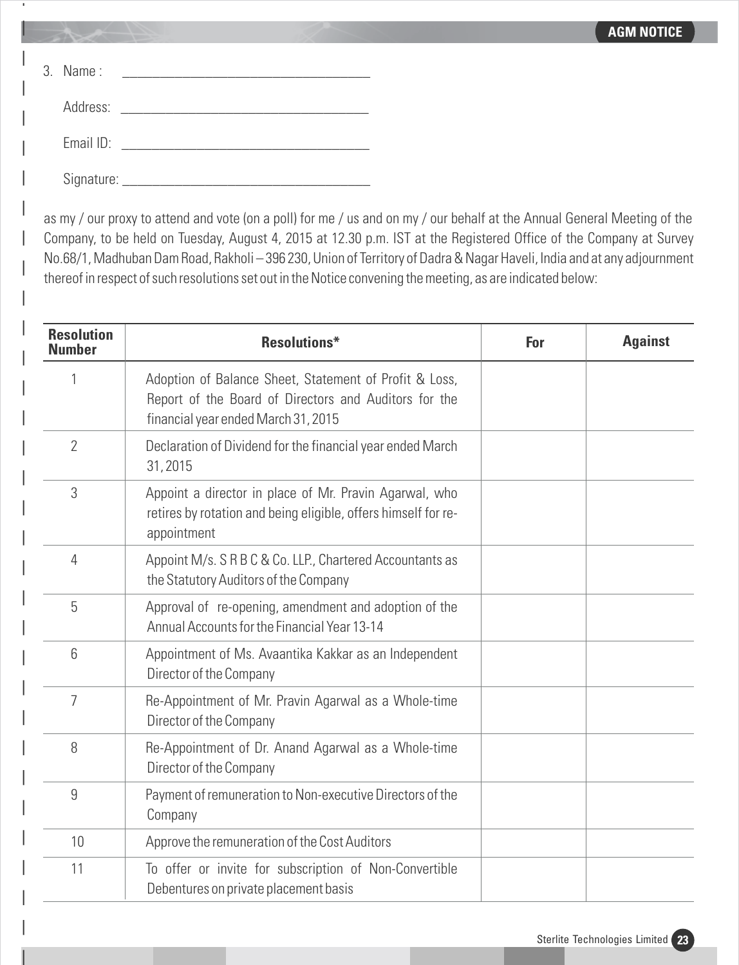| $3.$ Name:       |                                                                                                                |
|------------------|----------------------------------------------------------------------------------------------------------------|
|                  | Address: Andreas Address Address Andreas Andreas Address Address Address Andreas Address Andreas Address Andre |
| Email ID:        |                                                                                                                |
| Signature: _____ |                                                                                                                |

as my / our proxy to attend and vote (on a poll) for me / us and on my / our behalf at the Annual General Meeting of the Company, to be held on Tuesday, August 4, 2015 at 12.30 p.m. IST at the Registered Office of the Company at Survey No.68/1, Madhuban Dam Road, Rakholi – 396 230, Union of Territory of Dadra & Nagar Haveli, India and at any adjournment thereof in respect of such resolutions set out in the Notice convening the meeting, as are indicated below:

| <b>Resolution</b><br><b>Number</b> | <b>Resolutions*</b>                                                                                                                                    | For | <b>Against</b> |
|------------------------------------|--------------------------------------------------------------------------------------------------------------------------------------------------------|-----|----------------|
|                                    | Adoption of Balance Sheet, Statement of Profit & Loss,<br>Report of the Board of Directors and Auditors for the<br>financial year ended March 31, 2015 |     |                |
| 2                                  | Declaration of Dividend for the financial year ended March<br>31,2015                                                                                  |     |                |
| 3                                  | Appoint a director in place of Mr. Pravin Agarwal, who<br>retires by rotation and being eligible, offers himself for re-<br>appointment                |     |                |
| 4                                  | Appoint M/s. S R B C & Co. LLP., Chartered Accountants as<br>the Statutory Auditors of the Company                                                     |     |                |
| 5                                  | Approval of re-opening, amendment and adoption of the<br>Annual Accounts for the Financial Year 13-14                                                  |     |                |
| 6                                  | Appointment of Ms. Avaantika Kakkar as an Independent<br>Director of the Company                                                                       |     |                |
| $\overline{7}$                     | Re-Appointment of Mr. Pravin Agarwal as a Whole-time<br>Director of the Company                                                                        |     |                |
| 8                                  | Re-Appointment of Dr. Anand Agarwal as a Whole-time<br>Director of the Company                                                                         |     |                |
| 9                                  | Payment of remuneration to Non-executive Directors of the<br>Company                                                                                   |     |                |
| 10                                 | Approve the remuneration of the Cost Auditors                                                                                                          |     |                |
| 11                                 | To offer or invite for subscription of Non-Convertible<br>Debentures on private placement basis                                                        |     |                |